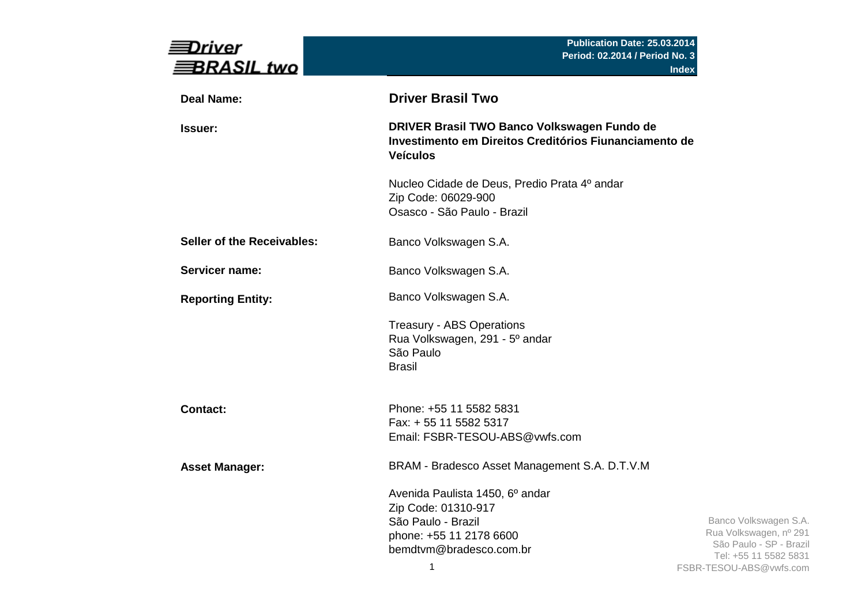| Driver<br>BRASIL two              | Publication Date: 25.03.2014<br>Period: 02.2014 / Period No. 3                                                                          | <b>Index</b>                                                                                                                   |
|-----------------------------------|-----------------------------------------------------------------------------------------------------------------------------------------|--------------------------------------------------------------------------------------------------------------------------------|
| <b>Deal Name:</b>                 | <b>Driver Brasil Two</b>                                                                                                                |                                                                                                                                |
| <b>Issuer:</b>                    | DRIVER Brasil TWO Banco Volkswagen Fundo de<br>Investimento em Direitos Creditórios Fiunanciamento de<br><b>Veículos</b>                |                                                                                                                                |
|                                   | Nucleo Cidade de Deus, Predio Prata 4º andar<br>Zip Code: 06029-900<br>Osasco - São Paulo - Brazil                                      |                                                                                                                                |
| <b>Seller of the Receivables:</b> | Banco Volkswagen S.A.                                                                                                                   |                                                                                                                                |
| Servicer name:                    | Banco Volkswagen S.A.                                                                                                                   |                                                                                                                                |
| <b>Reporting Entity:</b>          | Banco Volkswagen S.A.                                                                                                                   |                                                                                                                                |
|                                   | <b>Treasury - ABS Operations</b><br>Rua Volkswagen, 291 - 5 <sup>o</sup> andar<br>São Paulo<br><b>Brasil</b>                            |                                                                                                                                |
| <b>Contact:</b>                   | Phone: +55 11 5582 5831<br>Fax: + 55 11 5582 5317<br>Email: FSBR-TESOU-ABS@vwfs.com                                                     |                                                                                                                                |
| <b>Asset Manager:</b>             | BRAM - Bradesco Asset Management S.A. D.T.V.M                                                                                           |                                                                                                                                |
|                                   | Avenida Paulista 1450, 6º andar<br>Zip Code: 01310-917<br>São Paulo - Brazil<br>phone: +55 11 2178 6600<br>bemdtvm@bradesco.com.br<br>1 | Banco Volkswagen S.A.<br>Rua Volkswagen, nº 291<br>São Paulo - SP - Brazil<br>Tel: +55 11 5582 5831<br>FSBR-TESOU-ABS@vwfs.com |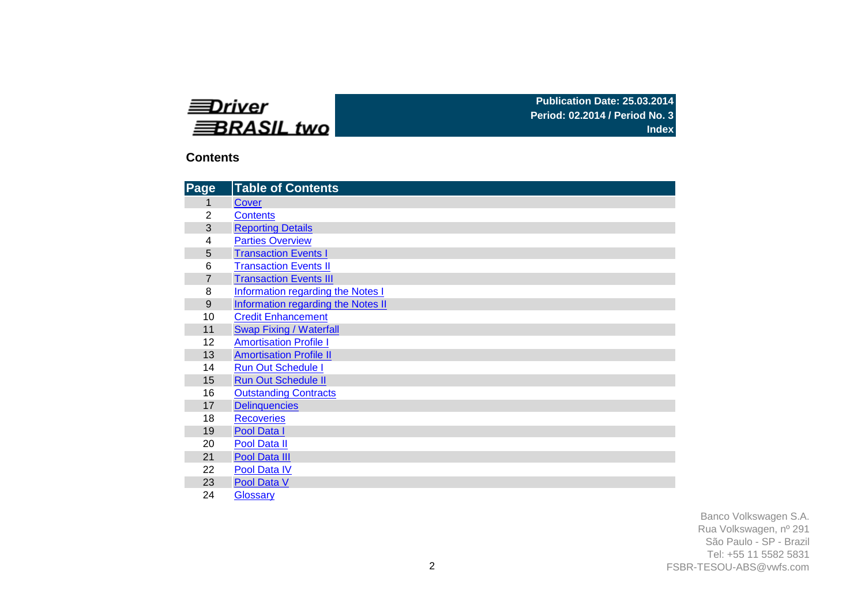# **EDriver BRASIL** two

### **Publication Date: 25.03.2014 Period: 02.2014 / Period No. 3 Index**

## **Contents**

| Page           | <b>Table of Contents</b>                 |
|----------------|------------------------------------------|
| 1              | Cover                                    |
| $\overline{2}$ | <b>Contents</b>                          |
| 3              | <b>Reporting Details</b>                 |
| 4              | <b>Parties Overview</b>                  |
| 5              | <b>Transaction Events I</b>              |
| 6              | <b>Transaction Events II</b>             |
| $\overline{7}$ | <b>Transaction Events III</b>            |
| 8              | <b>Information regarding the Notes I</b> |
| 9              | Information regarding the Notes II       |
| 10             | <b>Credit Enhancement</b>                |
| 11             | <b>Swap Fixing / Waterfall</b>           |
| 12             | <b>Amortisation Profile I</b>            |
| 13             | <b>Amortisation Profile II</b>           |
| 14             | <b>Run Out Schedule I</b>                |
| 15             | <b>Run Out Schedule II</b>               |
| 16             | <b>Outstanding Contracts</b>             |
| 17             | <b>Delinquencies</b>                     |
| 18             | <b>Recoveries</b>                        |
| 19             | Pool Data I                              |
| 20             | Pool Data II                             |
| 21             | Pool Data III                            |
| 22             | Pool Data IV                             |
| 23             | Pool Data V                              |
| 24             | Glossary                                 |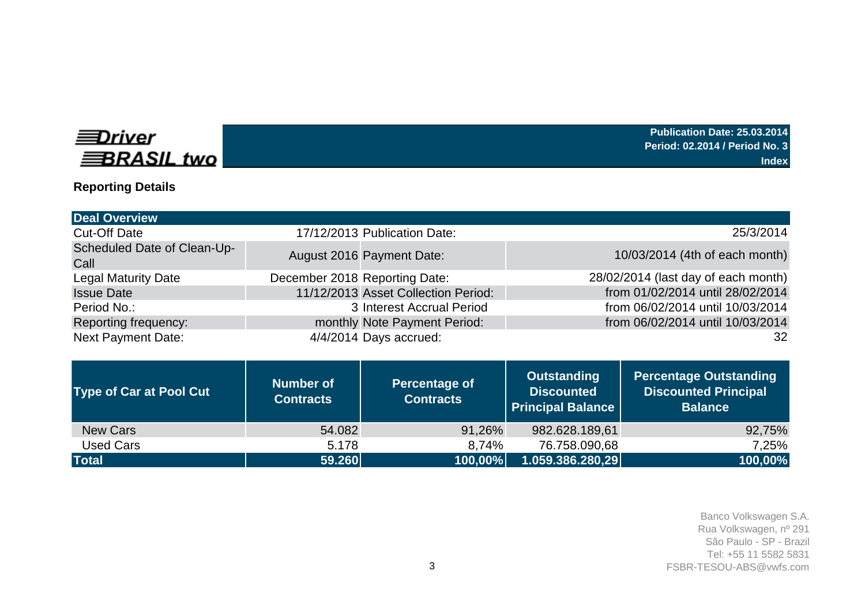# **EDriver BRASIL** two

**Publication Date: 25.03.2014 Period: 02.2014 / Period No. 3 Index**

## **Reporting Details**

| <b>Deal Overview</b>                |                                     |                                     |
|-------------------------------------|-------------------------------------|-------------------------------------|
| Cut-Off Date                        | 17/12/2013 Publication Date:        | 25/3/2014                           |
| Scheduled Date of Clean-Up-<br>Call | August 2016 Payment Date:           | 10/03/2014 (4th of each month)      |
| <b>Legal Maturity Date</b>          | December 2018 Reporting Date:       | 28/02/2014 (last day of each month) |
| <b>Issue Date</b>                   | 11/12/2013 Asset Collection Period: | from 01/02/2014 until 28/02/2014    |
| Period No.:                         | 3 Interest Accrual Period           | from 06/02/2014 until 10/03/2014    |
| Reporting frequency:                | monthly Note Payment Period:        | from 06/02/2014 until 10/03/2014    |
| <b>Next Payment Date:</b>           | 4/4/2014 Days accrued:              | 32                                  |

| <b>Type of Car at Pool Cut</b> | Number of<br><b>Contracts</b> | Percentage of<br><b>Contracts</b> | Outstanding<br><b>Discounted</b><br>Principal Balance | <b>Percentage Outstanding</b><br><b>Discounted Principal</b><br><b>Balance</b> |  |
|--------------------------------|-------------------------------|-----------------------------------|-------------------------------------------------------|--------------------------------------------------------------------------------|--|
| <b>New Cars</b>                | 54.082                        | 91,26%                            | 982.628.189,61                                        | 92,75%                                                                         |  |
| Used Cars                      | 5.178                         | 8,74%                             | 76.758.090,68                                         | 7,25%                                                                          |  |
| <b>Total</b>                   | 59.260                        | 100,00%                           | 1.059.386.280.29                                      | 100,00%                                                                        |  |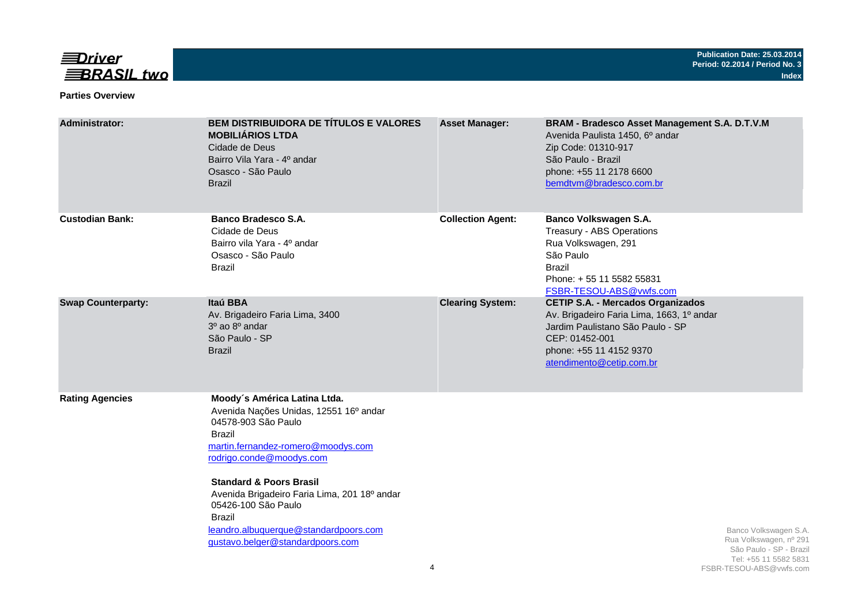

### **Parties Overview**

| <b>Administrator:</b>     | <b>BEM DISTRIBUIDORA DE TÍTULOS E VALORES</b><br><b>MOBILIÁRIOS LTDA</b><br>Cidade de Deus<br>Bairro Vila Yara - 4º andar<br>Osasco - São Paulo<br><b>Brazil</b>                                                                                                                                                                                                                          | <b>Asset Manager:</b>    | BRAM - Bradesco Asset Management S.A. D.T.V.M<br>Avenida Paulista 1450, 6º andar<br>Zip Code: 01310-917<br>São Paulo - Brazil<br>phone: +55 11 2178 6600<br>bemdtvm@bradesco.com.br                |                                                                                                                                |
|---------------------------|-------------------------------------------------------------------------------------------------------------------------------------------------------------------------------------------------------------------------------------------------------------------------------------------------------------------------------------------------------------------------------------------|--------------------------|----------------------------------------------------------------------------------------------------------------------------------------------------------------------------------------------------|--------------------------------------------------------------------------------------------------------------------------------|
| <b>Custodian Bank:</b>    | <b>Banco Bradesco S.A.</b><br>Cidade de Deus<br>Bairro vila Yara - 4º andar<br>Osasco - São Paulo<br><b>Brazil</b>                                                                                                                                                                                                                                                                        | <b>Collection Agent:</b> | Banco Volkswagen S.A.<br>Treasury - ABS Operations<br>Rua Volkswagen, 291<br>São Paulo<br><b>Brazil</b><br>Phone: +55 11 5582 55831<br>FSBR-TESOU-ABS@vwfs.com                                     |                                                                                                                                |
| <b>Swap Counterparty:</b> | Itaú BBA<br>Av. Brigadeiro Faria Lima, 3400<br>$30$ ao $80$ andar<br>São Paulo - SP<br><b>Brazil</b>                                                                                                                                                                                                                                                                                      | <b>Clearing System:</b>  | <b>CETIP S.A. - Mercados Organizados</b><br>Av. Brigadeiro Faria Lima, 1663, 1º andar<br>Jardim Paulistano São Paulo - SP<br>CEP: 01452-001<br>phone: +55 11 4152 9370<br>atendimento@cetip.com.br |                                                                                                                                |
| <b>Rating Agencies</b>    | Moody's América Latina Ltda.<br>Avenida Nações Unidas, 12551 16º andar<br>04578-903 São Paulo<br>Brazil<br>martin.fernandez-romero@moodys.com<br>rodrigo.conde@moodys.com<br><b>Standard &amp; Poors Brasil</b><br>Avenida Brigadeiro Faria Lima, 201 18º andar<br>05426-100 São Paulo<br><b>Brazil</b><br>leandro.albuquerque@standardpoors.com<br>gustavo.belger@standardpoors.com<br>4 |                          |                                                                                                                                                                                                    | Banco Volkswagen S.A.<br>Rua Volkswagen, nº 291<br>São Paulo - SP - Brazil<br>Tel: +55 11 5582 5831<br>FSBR-TESOU-ABS@vwfs.com |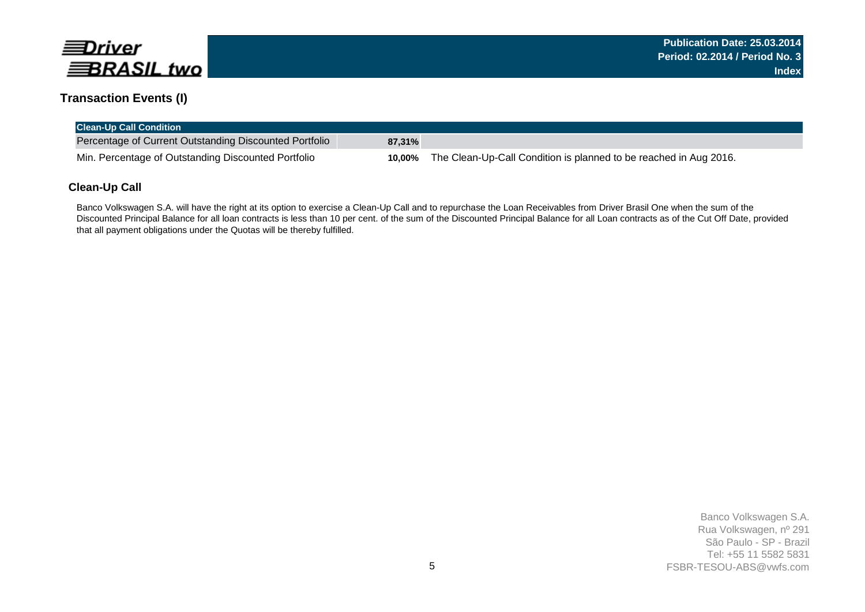

## **Transaction Events (I)**

| <b>Clean-Up Call Condition</b>                         |           |                                                                   |
|--------------------------------------------------------|-----------|-------------------------------------------------------------------|
| Percentage of Current Outstanding Discounted Portfolio | $87,31\%$ |                                                                   |
| Min. Percentage of Outstanding Discounted Portfolio    | 10.00%    | The Clean-Up-Call Condition is planned to be reached in Aug 2016. |

### **Clean-Up Call**

Banco Volkswagen S.A. will have the right at its option to exercise a Clean-Up Call and to repurchase the Loan Receivables from Driver Brasil One when the sum of the Discounted Principal Balance for all loan contracts is less than 10 per cent. of the sum of the Discounted Principal Balance for all Loan contracts as of the Cut Off Date, provided that all payment obligations under the Quotas will be thereby fulfilled.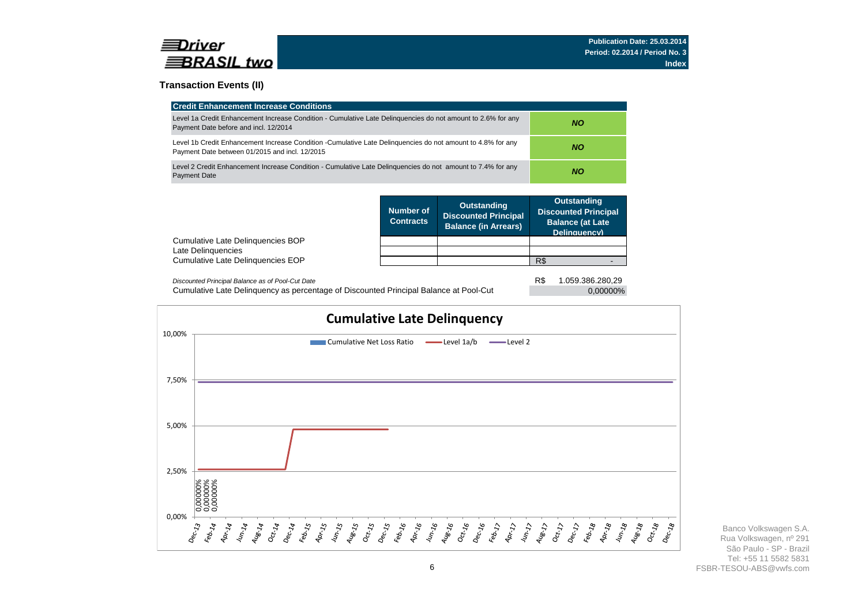

### **Transaction Events (II)**

| <b>Credit Enhancement Increase Conditions</b>                                                                                                                 |           |
|---------------------------------------------------------------------------------------------------------------------------------------------------------------|-----------|
| Level 1a Credit Enhancement Increase Condition - Cumulative Late Delinguencies do not amount to 2.6% for any<br>Payment Date before and incl. 12/2014         | <b>NO</b> |
| Level 1b Credit Enhancement Increase Condition -Cumulative Late Delinguencies do not amount to 4.8% for any<br>Payment Date between 01/2015 and incl. 12/2015 | <b>NO</b> |
| Level 2 Credit Enhancement Increase Condition - Cumulative Late Delinguencies do not amount to 7.4% for any<br><b>Payment Date</b>                            | ΝO        |

|                                   | Number of<br><b>Contracts</b> | <b>Outstanding</b><br><b>Discounted Principal</b><br><b>Balance (in Arrears)</b> | Outstanding<br><b>Discounted Principal</b><br><b>Balance (at Late</b><br>Delinquency) |
|-----------------------------------|-------------------------------|----------------------------------------------------------------------------------|---------------------------------------------------------------------------------------|
| Cumulative Late Delinguencies BOP |                               |                                                                                  |                                                                                       |
| Late Delinquencies                |                               |                                                                                  |                                                                                       |
| Cumulative Late Delinquencies EOP |                               |                                                                                  | R\$                                                                                   |
|                                   |                               |                                                                                  | <b>DA</b><br>1.050.000.000.00                                                         |

Cumulative Late Delinquency as percentage of Discounted Principal Balance at Pool-Cut *Discounted Principal Balance as of Pool-Cut Date*

R\$ 1.059.386.280,29

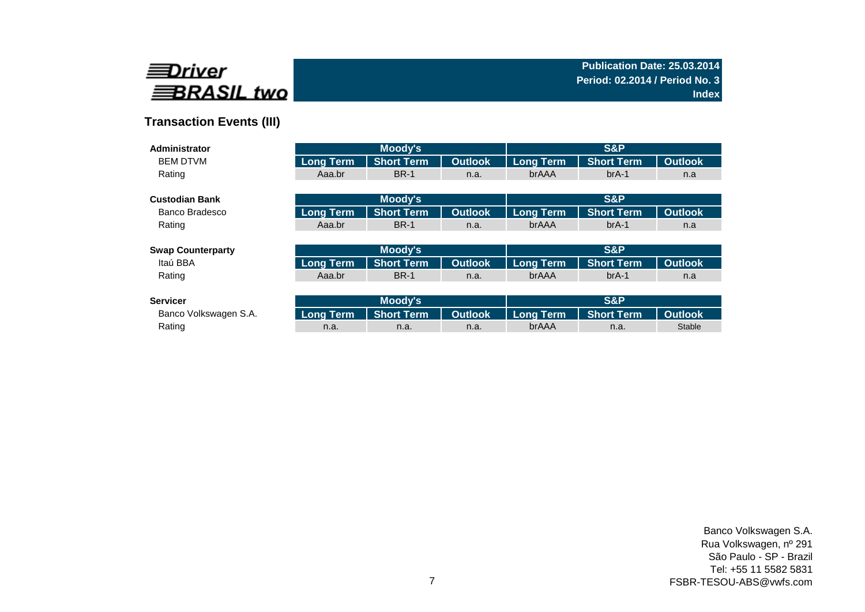

## **Transaction Events (III)**

| Administrator            |                  | Moody's           |                |                  |                   |                |
|--------------------------|------------------|-------------------|----------------|------------------|-------------------|----------------|
| <b>BEM DTVM</b>          | <b>Long Term</b> | <b>Short Term</b> | <b>Outlook</b> | <b>Long Term</b> | <b>Short Term</b> | <b>Outlook</b> |
| Rating                   | Aaa.br           | <b>BR-1</b>       | n.a.           | brAAA            | $brA-1$           | n.a            |
|                          |                  |                   |                |                  |                   |                |
| <b>Custodian Bank</b>    |                  | Moody's           |                |                  | S&P               |                |
| Banco Bradesco           | <b>Long Term</b> | <b>Short Term</b> | <b>Outlook</b> | <b>Long Term</b> | <b>Short Term</b> | <b>Outlook</b> |
| Rating                   | Aaa.br           | <b>BR-1</b>       | n.a.           | brAAA            | $brA-1$           | n.a            |
|                          |                  |                   |                |                  |                   |                |
| <b>Swap Counterparty</b> |                  | Moody's           |                |                  | S&P               |                |
| Itaú BBA                 | <b>Long Term</b> | <b>Short Term</b> | <b>Outlook</b> | <b>Long Term</b> | <b>Short Term</b> | <b>Outlook</b> |
| Rating                   | Aaa.br           | <b>BR-1</b>       | n.a.           | brAAA            | $brA-1$           | n.a            |
|                          |                  |                   |                |                  |                   |                |
| <b>Servicer</b>          |                  | Moody's           |                |                  | S&P               |                |
| Banco Volkswagen S.A.    | <b>Long Term</b> | <b>Short Term</b> | <b>Outlook</b> | <b>Long Term</b> | <b>Short Term</b> | <b>Outlook</b> |
| Rating                   | n.a.             | n.a.              | n.a.           | brAAA            | n.a.              | <b>Stable</b>  |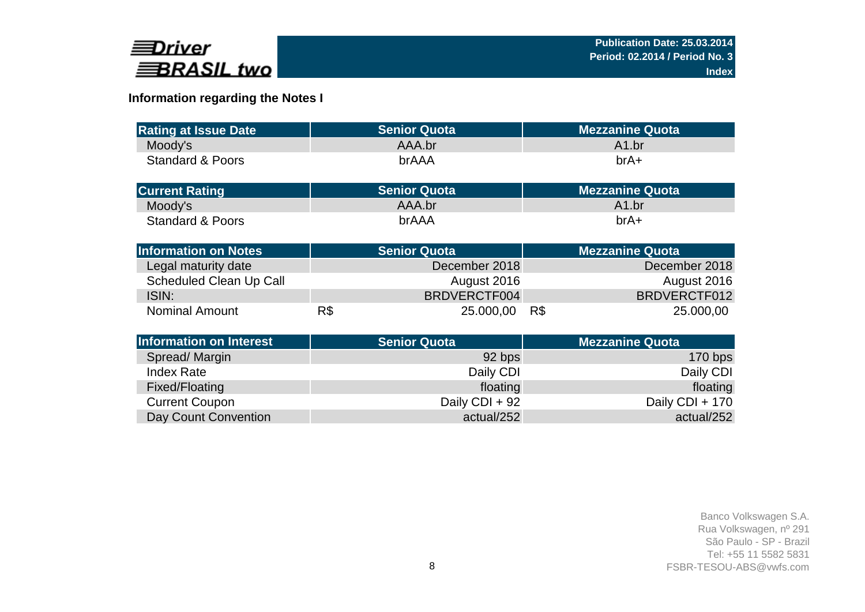

## **Information regarding the Notes I**

| <b>Rating at Issue Date</b>    | <b>Senior Quota</b> | <b>Mezzanine Quota</b> |
|--------------------------------|---------------------|------------------------|
| Moody's                        | AAA.br              | A1.br                  |
| <b>Standard &amp; Poors</b>    | brAAA               | $brA+$                 |
| <b>Current Rating</b>          | <b>Senior Quota</b> | <b>Mezzanine Quota</b> |
| Moody's                        | AAA.br              | A1.br                  |
|                                |                     |                        |
| <b>Standard &amp; Poors</b>    | brAAA               | $brA+$                 |
| <b>Information on Notes</b>    | <b>Senior Quota</b> | <b>Mezzanine Quota</b> |
| Legal maturity date            | December 2018       | December 2018          |
| Scheduled Clean Up Call        | August 2016         | August 2016            |
| ISIN:                          | BRDVERCTF004        | BRDVERCTF012           |
| <b>Nominal Amount</b>          | R\$<br>25.000,00    | R\$<br>25.000,00       |
| <b>Information on Interest</b> | <b>Senior Quota</b> | <b>Mezzanine Quota</b> |
| Spread/Margin                  | 92 bps              | 170 bps                |
|                                |                     |                        |
| <b>Index Rate</b>              | Daily CDI           | Daily CDI              |
| Fixed/Floating                 | floating            | floating               |
| <b>Current Coupon</b>          | Daily CDI + 92      | Daily CDI + 170        |
| Day Count Convention           | actual/252          | actual/252             |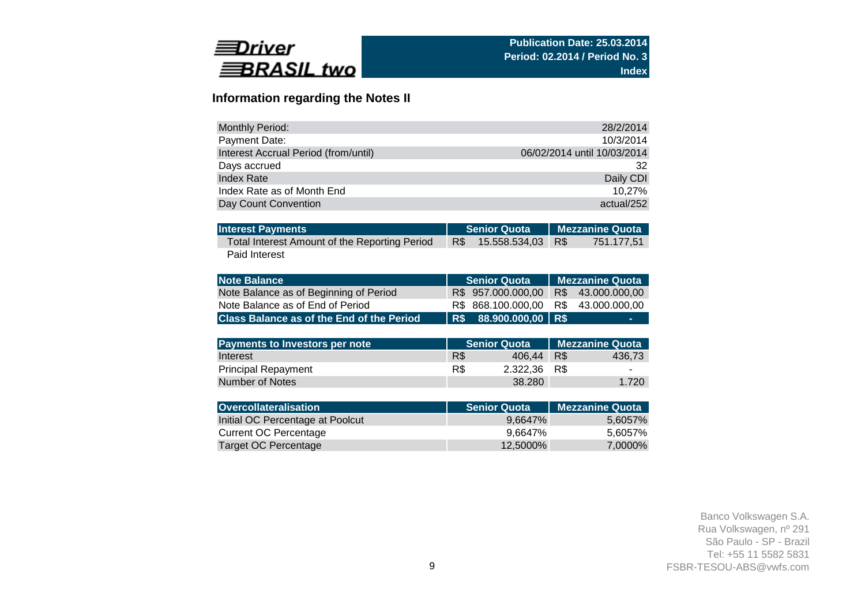

## **Information regarding the Notes II**

| <b>Monthly Period:</b>               | 28/2/2014                   |
|--------------------------------------|-----------------------------|
| Payment Date:                        | 10/3/2014                   |
| Interest Accrual Period (from/until) | 06/02/2014 until 10/03/2014 |
| Days accrued                         | 32                          |
| Index Rate                           | Daily CDI                   |
| Index Rate as of Month End           | 10.27%                      |
| Day Count Convention                 | actual/252                  |

| <b>Interest Payments</b>                      |     | <b>Senior Quota</b> |     | <b>Mezzanine Quota</b> |
|-----------------------------------------------|-----|---------------------|-----|------------------------|
| Total Interest Amount of the Reporting Period | R\$ | 15.558.534.03       | R\$ | 751.177.51             |
| Paid Interest                                 |     |                     |     |                        |

| Note Balance                                     | <b>Senior Quota</b>                   | <b>Mezzanine Quota</b> |
|--------------------------------------------------|---------------------------------------|------------------------|
| Note Balance as of Beginning of Period           | R\$ 957.000.000,00                    | 43.000.000.00<br>R\$   |
| Note Balance as of End of Period                 | R\$ 868.100.000,00                    | R\$43.000.000,00       |
| <b>Class Balance as of the End of the Period</b> | R\$  88.900.000,00   R\$ <sup> </sup> |                        |

| <b>Payments to Investors per note</b> |     | <b>Senior Quota</b> | <b>Mezzanine Quota</b> |        |  |  |
|---------------------------------------|-----|---------------------|------------------------|--------|--|--|
| Interest                              | R\$ | 406.44              | R\$                    | 436.73 |  |  |
| <b>Principal Repayment</b>            | R\$ | 2.322.36            | R\$                    | -      |  |  |
| Number of Notes                       |     | 38.280              |                        | 1.720  |  |  |

| <b>Overcollateralisation</b>     | <b>Senior Quota</b> | <b>I</b> Mezzanine Quota |
|----------------------------------|---------------------|--------------------------|
| Initial OC Percentage at Poolcut | 9.6647%             | 5,6057%                  |
| Current OC Percentage            | 9.6647%             | 5,6057%                  |
| Target OC Percentage             | 12.5000%            | 7,0000%                  |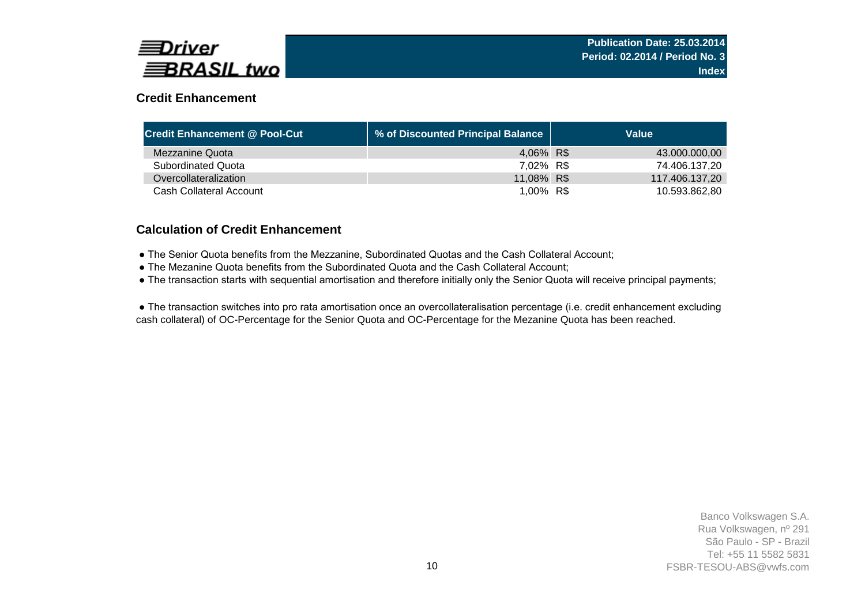

## **Credit Enhancement**

| <b>Credit Enhancement @ Pool-Cut</b> | % of Discounted Principal Balance | Value          |
|--------------------------------------|-----------------------------------|----------------|
| Mezzanine Quota                      | 4,06% R\$                         | 43.000.000,00  |
| <b>Subordinated Quota</b>            | 7,02% R\$                         | 74.406.137.20  |
| Overcollateralization                | 11,08% R\$                        | 117.406.137.20 |
| Cash Collateral Account              | 1,00% R\$                         | 10.593.862.80  |

### **Calculation of Credit Enhancement**

- The Senior Quota benefits from the Mezzanine, Subordinated Quotas and the Cash Collateral Account;
- The Mezanine Quota benefits from the Subordinated Quota and the Cash Collateral Account;
- The transaction starts with sequential amortisation and therefore initially only the Senior Quota will receive principal payments;

 ● The transaction switches into pro rata amortisation once an overcollateralisation percentage (i.e. credit enhancement excluding cash collateral) of OC-Percentage for the Senior Quota and OC-Percentage for the Mezanine Quota has been reached.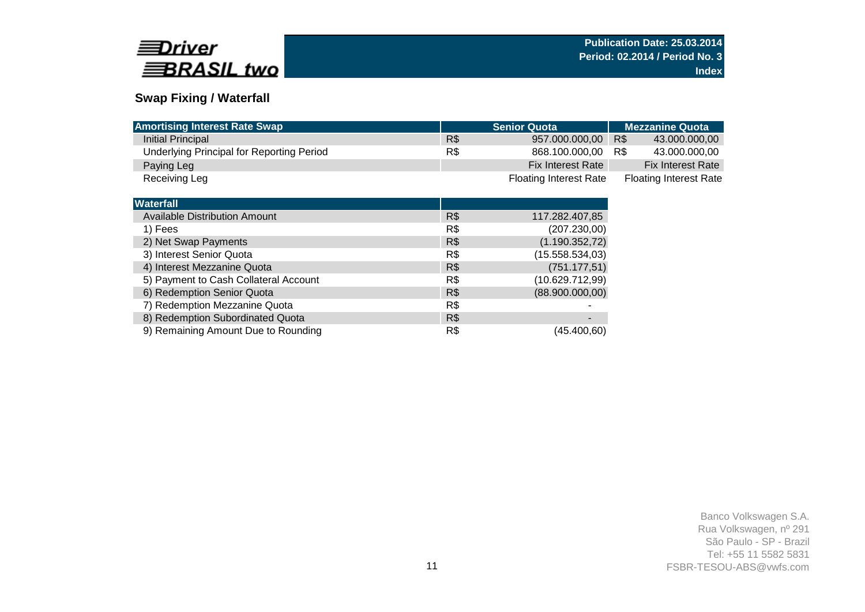

## **Swap Fixing / Waterfall**

|     | <b>Senior Quota</b>           |     | <b>Mezzanine Quota</b>        |
|-----|-------------------------------|-----|-------------------------------|
| R\$ | 957.000.000,00                | R\$ | 43.000.000,00                 |
| R\$ | 868.100.000,00                | R\$ | 43.000.000,00                 |
|     | <b>Fix Interest Rate</b>      |     | <b>Fix Interest Rate</b>      |
|     | <b>Floating Interest Rate</b> |     | <b>Floating Interest Rate</b> |
|     |                               |     |                               |
|     |                               |     |                               |
| R\$ | 117.282.407,85                |     |                               |
| R\$ | (207.230,00)                  |     |                               |
| R\$ | (1.190.352,72)                |     |                               |
| R\$ | (15.558.534,03)               |     |                               |
| R\$ | (751.177, 51)                 |     |                               |
| R\$ | (10.629.712,99)               |     |                               |
| R\$ | (88.900.000,00)               |     |                               |
| R\$ |                               |     |                               |
| R\$ |                               |     |                               |
|     |                               |     |                               |

9) Remaining Amount Due to Rounding The RS R\$ (45.400,60)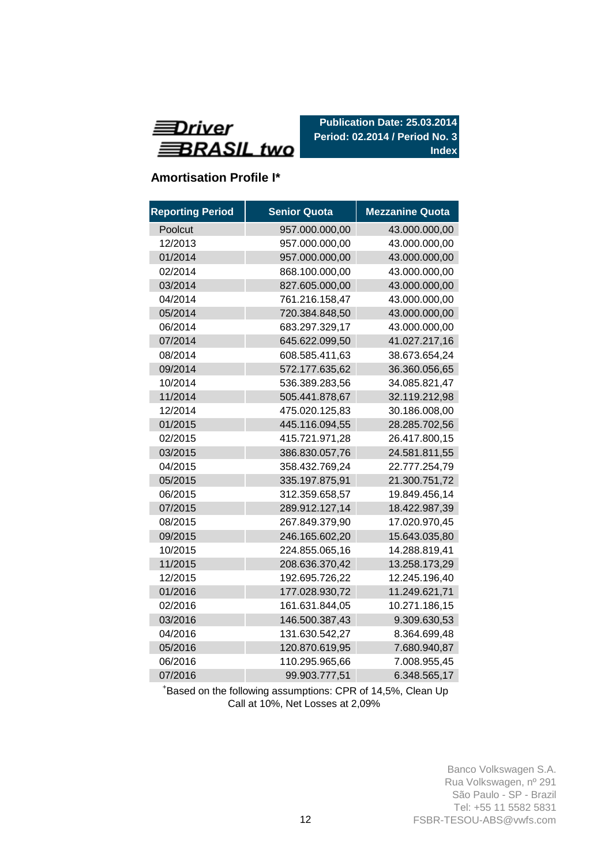

**Publication Date: 25.03.2014 Period: 02.2014 / Period No. 3 Index**

## **Amortisation Profile I\***

| <b>Reporting Period</b> | <b>Senior Quota</b> | <b>Mezzanine Quota</b> |
|-------------------------|---------------------|------------------------|
| Poolcut                 | 957.000.000,00      | 43.000.000,00          |
| 12/2013                 | 957.000.000,00      | 43.000.000,00          |
| 01/2014                 | 957.000.000,00      | 43.000.000,00          |
| 02/2014                 | 868.100.000,00      | 43.000.000,00          |
| 03/2014                 | 827.605.000,00      | 43.000.000,00          |
| 04/2014                 | 761.216.158,47      | 43.000.000,00          |
| 05/2014                 | 720.384.848,50      | 43.000.000,00          |
| 06/2014                 | 683.297.329,17      | 43.000.000,00          |
| 07/2014                 | 645.622.099,50      | 41.027.217,16          |
| 08/2014                 | 608.585.411,63      | 38.673.654,24          |
| 09/2014                 | 572.177.635,62      | 36.360.056,65          |
| 10/2014                 | 536.389.283,56      | 34.085.821,47          |
| 11/2014                 | 505.441.878,67      | 32.119.212,98          |
| 12/2014                 | 475.020.125,83      | 30.186.008,00          |
| 01/2015                 | 445.116.094,55      | 28.285.702,56          |
| 02/2015                 | 415.721.971,28      | 26.417.800,15          |
| 03/2015                 | 386.830.057,76      | 24.581.811,55          |
| 04/2015                 | 358.432.769,24      | 22.777.254,79          |
| 05/2015                 | 335.197.875,91      | 21.300.751,72          |
| 06/2015                 | 312.359.658,57      | 19.849.456,14          |
| 07/2015                 | 289.912.127,14      | 18.422.987,39          |
| 08/2015                 | 267.849.379,90      | 17.020.970,45          |
| 09/2015                 | 246.165.602,20      | 15.643.035,80          |
| 10/2015                 | 224.855.065,16      | 14.288.819,41          |
| 11/2015                 | 208.636.370,42      | 13.258.173,29          |
| 12/2015                 | 192.695.726,22      | 12.245.196,40          |
| 01/2016                 | 177.028.930,72      | 11.249.621,71          |
| 02/2016                 | 161.631.844,05      | 10.271.186,15          |
| 03/2016                 | 146.500.387,43      | 9.309.630,53           |
| 04/2016                 | 131.630.542,27      | 8.364.699,48           |
| 05/2016                 | 120.870.619,95      | 7.680.940,87           |
| 06/2016                 | 110.295.965,66      | 7.008.955,45           |
| 07/2016                 | 99.903.777,51       | 6.348.565,17           |

<sup>+</sup>Based on the following assumptions: CPR of 14,5%, Clean Up Call at 10%, Net Losses at 2,09%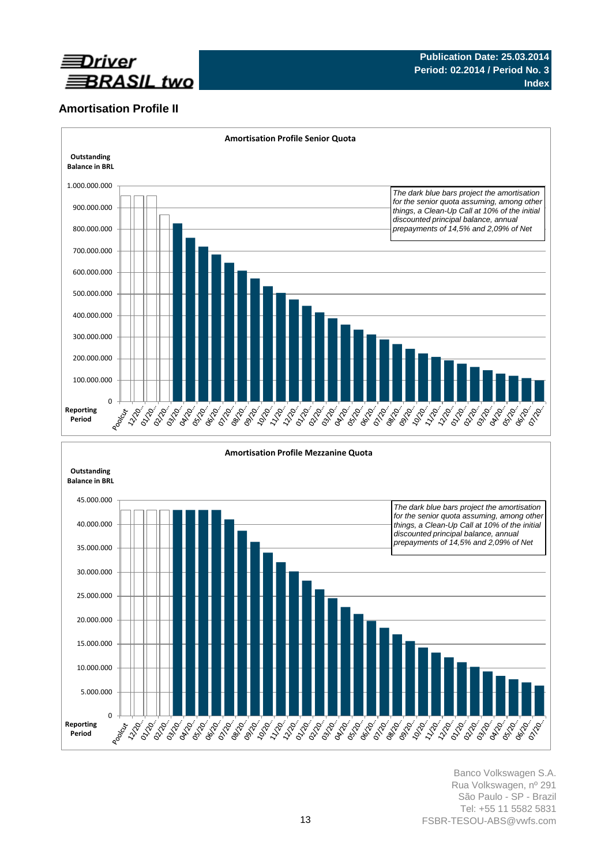

## **Amortisation Profile II**



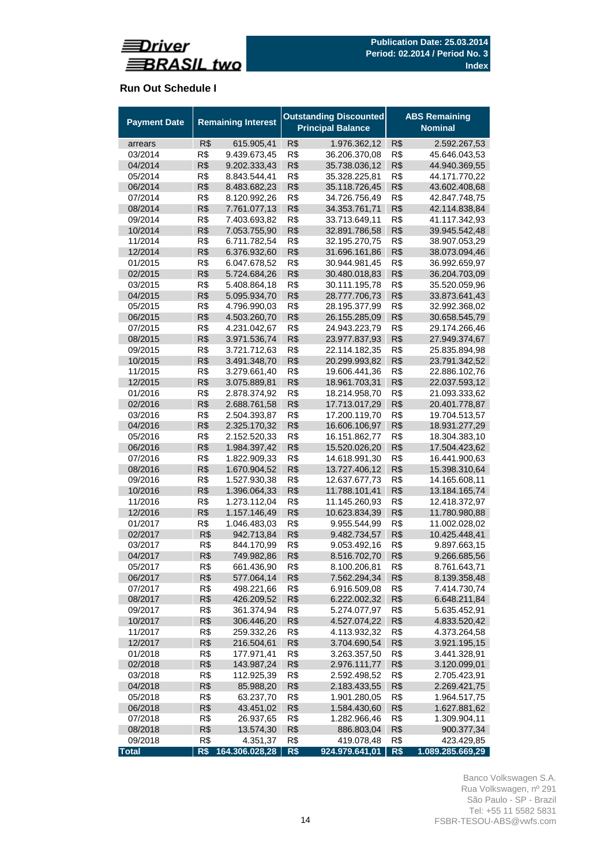

## **Run Out Schedule I**

| <b>Payment Date</b>     |            | <b>Remaining Interest</b>  |            | <b>Outstanding Discounted</b><br><b>Principal Balance</b> |            | <b>ABS Remaining</b><br><b>Nominal</b> |
|-------------------------|------------|----------------------------|------------|-----------------------------------------------------------|------------|----------------------------------------|
| arrears                 | R\$        | 615.905,41                 | R\$        | 1.976.362,12                                              | R\$        | 2.592.267,53                           |
| 03/2014                 | R\$        | 9.439.673,45               | R\$        | 36.206.370,08                                             | R\$        | 45.646.043,53                          |
| 04/2014                 | R\$        | 9.202.333,43               | R\$        | 35.738.036,12                                             | R\$        | 44.940.369,55                          |
| 05/2014                 | R\$        | 8.843.544,41               | R\$        | 35.328.225,81                                             | R\$        | 44.171.770,22                          |
| 06/2014                 | R\$        | 8.483.682,23               | R\$        | 35.118.726,45                                             | R\$        | 43.602.408,68                          |
| 07/2014                 | R\$        | 8.120.992,26               | R\$        | 34.726.756,49                                             | R\$        | 42.847.748,75                          |
| 08/2014                 | R\$        | 7.761.077,13               | R\$        | 34.353.761,71                                             | R\$        | 42.114.838,84                          |
| 09/2014                 | R\$        | 7.403.693.82               | R\$        | 33.713.649,11                                             | R\$        | 41.117.342,93                          |
| 10/2014                 | R\$        | 7.053.755,90               | R\$        | 32.891.786,58                                             | R\$        | 39.945.542,48                          |
| 11/2014                 | R\$        | 6.711.782,54               | R\$        | 32.195.270,75                                             | R\$        | 38.907.053,29                          |
| 12/2014                 | R\$        | 6.376.932,60               | R\$        | 31.696.161,86                                             | R\$        | 38.073.094,46                          |
| 01/2015                 | R\$        | 6.047.678,52               | R\$        | 30.944.981,45                                             | R\$        | 36.992.659,97                          |
| 02/2015                 | R\$        | 5.724.684,26               | R\$        | 30.480.018,83                                             | R\$        | 36.204.703,09                          |
| 03/2015                 | R\$        | 5.408.864,18               | R\$        | 30.111.195,78                                             | R\$        | 35.520.059,96                          |
| 04/2015                 | R\$        | 5.095.934,70               | R\$        | 28.777.706,73                                             | R\$        | 33.873.641,43                          |
| 05/2015                 | R\$        | 4.796.990,03               | R\$        | 28.195.377,99                                             | R\$        | 32.992.368,02                          |
| 06/2015                 | R\$        | 4.503.260,70               | R\$        | 26.155.285,09                                             | R\$        | 30.658.545,79                          |
| 07/2015                 | R\$        | 4.231.042,67               | R\$        | 24.943.223,79                                             | R\$        | 29.174.266,46                          |
| 08/2015                 | R\$        | 3.971.536,74               | R\$        | 23.977.837,93                                             | R\$        | 27.949.374,67                          |
| 09/2015                 | R\$        | 3.721.712,63               | R\$        | 22.114.182.35                                             | R\$        | 25.835.894,98                          |
| 10/2015                 | R\$        | 3.491.348,70               | R\$        | 20.299.993,82                                             | R\$        | 23.791.342,52                          |
| 11/2015                 | R\$        | 3.279.661,40               | R\$        | 19.606.441,36                                             | R\$        | 22.886.102,76                          |
| 12/2015                 | R\$        | 3.075.889,81               | R\$        | 18.961.703,31                                             | R\$        | 22.037.593,12                          |
| 01/2016                 | R\$        | 2.878.374,92               | R\$        | 18.214.958,70                                             | R\$        | 21.093.333,62                          |
| 02/2016                 | R\$        | 2.688.761,58               | R\$        | 17.713.017,29                                             | R\$        | 20.401.778,87                          |
| 03/2016                 | R\$        | 2.504.393,87               | R\$        | 17.200.119,70                                             | R\$        | 19.704.513,57                          |
| 04/2016                 | R\$        | 2.325.170,32               | R\$        | 16.606.106,97                                             | R\$        | 18.931.277,29                          |
| 05/2016                 | R\$        | 2.152.520,33               | R\$        | 16.151.862,77                                             | R\$        | 18.304.383,10                          |
| 06/2016                 | R\$        | 1.984.397,42               | R\$        | 15.520.026,20                                             | R\$        | 17.504.423,62                          |
| 07/2016                 | R\$        | 1.822.909,33               | R\$        | 14.618.991,30                                             | R\$        | 16.441.900,63                          |
| 08/2016                 | R\$        | 1.670.904,52               | R\$        | 13.727.406,12                                             | R\$        | 15.398.310,64                          |
| 09/2016                 | R\$        | 1.527.930,38               | R\$        | 12.637.677,73                                             | R\$        | 14.165.608,11                          |
| 10/2016                 | R\$        | 1.396.064,33               | R\$        | 11.788.101,41                                             | R\$        | 13.184.165,74                          |
| 11/2016                 | R\$        | 1.273.112,04               | R\$        | 11.145.260,93                                             | R\$        | 12.418.372,97                          |
| 12/2016                 | R\$        | 1.157.146,49               | R\$        | 10.623.834,39                                             | R\$        | 11.780.980,88                          |
| 01/2017                 | R\$        | 1.046.483,03               | R\$        | 9.955.544,99                                              | R\$        | 11.002.028,02                          |
| 02/2017                 | R\$        | 942.713,84                 | R\$        | 9.482.734,57                                              | R\$        | 10.425.448,41                          |
| 03/2017                 | R\$        | 844.170,99                 | R\$        | 9.053.492,16                                              | R\$        | 9.897.663,15                           |
| 04/2017                 | R\$        | 749.982,86                 | R\$        | 8.516.702,70                                              | R\$        | 9.266.685,56                           |
| 05/2017                 | R\$        | 661.436,90                 | R\$        | 8.100.206,81                                              | R\$        | 8.761.643,71                           |
| 06/2017                 | R\$        | 577.064,14                 | R\$        | 7.562.294,34                                              | R\$        | 8.139.358,48                           |
| 07/2017                 | R\$        | 498.221,66                 | R\$        | 6.916.509,08                                              | R\$        | 7.414.730,74                           |
| 08/2017                 | R\$        | 426.209,52                 | R\$        | 6.222.002,32                                              | R\$        | 6.648.211,84                           |
| 09/2017                 | R\$        | 361.374,94                 | R\$        | 5.274.077,97                                              | R\$        | 5.635.452,91                           |
| 10/2017                 | R\$        | 306.446,20                 | R\$        | 4.527.074,22                                              | R\$        | 4.833.520,42                           |
| 11/2017                 | R\$        | 259.332,26                 | R\$        | 4.113.932,32                                              | R\$        | 4.373.264,58                           |
| 12/2017                 | R\$        | 216.504,61                 | R\$        | 3.704.690,54                                              | R\$        | 3.921.195,15                           |
| 01/2018                 | R\$        | 177.971,41                 | R\$        | 3.263.357,50                                              | R\$        | 3.441.328,91                           |
| 02/2018                 | R\$        | 143.987,24                 | R\$        | 2.976.111,77                                              | R\$        | 3.120.099,01                           |
| 03/2018                 | R\$        | 112.925,39                 | R\$        | 2.592.498,52                                              | R\$        | 2.705.423,91                           |
| 04/2018                 | R\$        | 85.988,20                  | R\$        | 2.183.433,55                                              | R\$        | 2.269.421,75                           |
| 05/2018                 | R\$        | 63.237,70                  | R\$        | 1.901.280,05                                              | R\$        | 1.964.517,75                           |
| 06/2018                 | R\$        | 43.451,02                  | R\$        | 1.584.430,60                                              | R\$        | 1.627.881,62                           |
| 07/2018                 | R\$        | 26.937,65                  | R\$        | 1.282.966,46                                              | R\$        | 1.309.904,11                           |
| 08/2018                 | R\$        | 13.574,30                  | R\$        | 886.803,04                                                | R\$        | 900.377,34                             |
| 09/2018<br><b>Total</b> | R\$<br>R\$ | 4.351,37<br>164.306.028,28 | R\$<br>R\$ | 419.078,48<br>924.979.641,01                              | R\$<br>R\$ | 423.429,85<br>1.089.285.669,29         |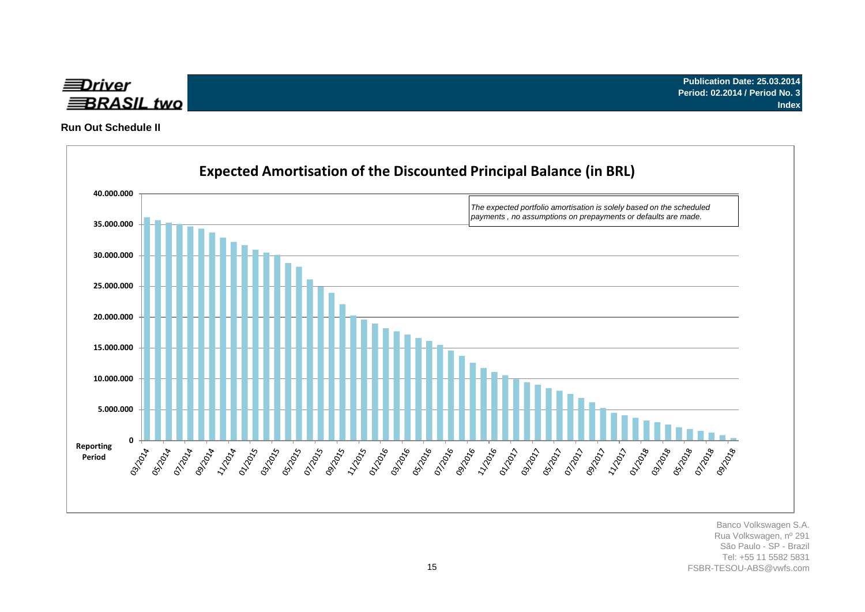

**Run Out Schedule II**

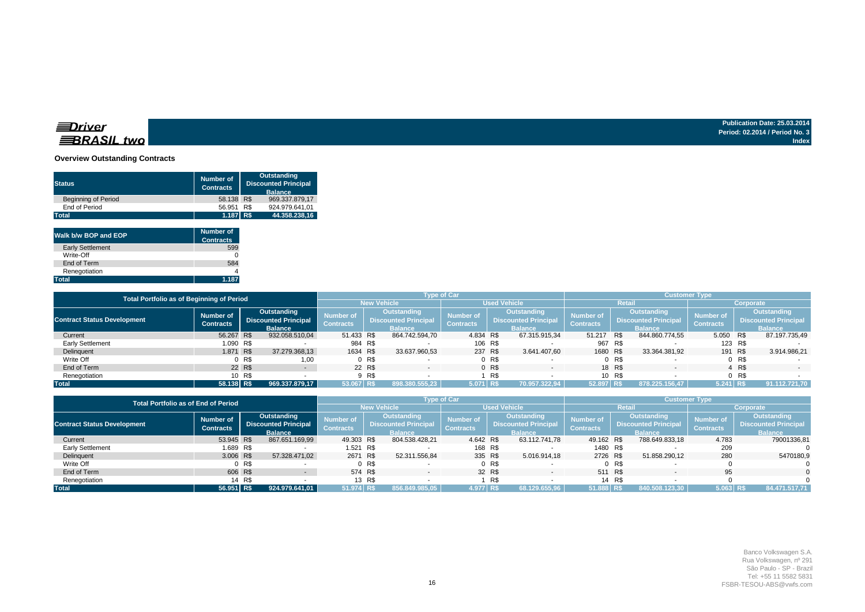**Publication Date: 25.03.2014 Period: 02.2014 / Period No. 3 Index**

#### **Overview Outstanding Contracts**

| <b>Status</b>               | <b>Number of</b><br><b>Contracts</b> | Outstanding<br><b>Discounted Principal</b><br><b>Balance</b> |                |  |  |  |  |
|-----------------------------|--------------------------------------|--------------------------------------------------------------|----------------|--|--|--|--|
| <b>Beginning of Period</b>  | 58.138 R\$                           |                                                              | 969.337.879.17 |  |  |  |  |
| End of Period               | 56.951                               | R\$                                                          | 924.979.641.01 |  |  |  |  |
| <b>Total</b>                | 1.187 R\$                            |                                                              | 44.358.238,16  |  |  |  |  |
| <b>Walk b/w BOP and EOP</b> | Number of<br><b>Contracts</b>        |                                                              |                |  |  |  |  |
| <b>Early Settlement</b>     | 599                                  |                                                              |                |  |  |  |  |
| Write-Off                   | O                                    |                                                              |                |  |  |  |  |
| End of Term                 | 584                                  |                                                              |                |  |  |  |  |
| Renegotiation               | 4                                    |                                                              |                |  |  |  |  |
| <b>Total</b>                | 1.187                                |                                                              |                |  |  |  |  |

|                                    | Total Portfolio as of Beginning of Period |        |                  |                    |                                            |                                      | <b>Type of Car</b> |                                                   |                                      | <b>Customer Type</b> |                                                   |                                      |             |                                                   |                               |  |                                                   |
|------------------------------------|-------------------------------------------|--------|------------------|--------------------|--------------------------------------------|--------------------------------------|--------------------|---------------------------------------------------|--------------------------------------|----------------------|---------------------------------------------------|--------------------------------------|-------------|---------------------------------------------------|-------------------------------|--|---------------------------------------------------|
|                                    |                                           |        |                  | <b>New Vehicle</b> |                                            |                                      |                    | <b>Used Vehicle</b>                               |                                      | Retail               | Corporate                                         |                                      |             |                                                   |                               |  |                                                   |
| <b>Contract Status Development</b> | Number of                                 |        | <b>Contracts</b> |                    | Outstanding<br><b>Discounted Principal</b> | <b>Number of</b><br><b>Contracts</b> |                    | <b>Outstanding</b><br><b>Discounted Principal</b> | <b>Number of</b><br><b>Contracts</b> |                      | <b>Outstanding</b><br><b>Discounted Principal</b> | <b>Number of</b><br><b>Contracts</b> |             | <b>Outstanding</b><br><b>Discounted Principal</b> | Number of<br><b>Contracts</b> |  | <b>Outstanding</b><br><b>Discounted Principal</b> |
|                                    |                                           |        | <b>Balance</b>   |                    |                                            | <b>Balance</b>                       |                    |                                                   | <b>Balance</b>                       |                      |                                                   | <b>Balance</b>                       |             |                                                   | <b>Balance</b>                |  |                                                   |
| Current                            | 56.267 R\$                                |        | 932.058.510,04   | 51.433 R\$         |                                            | 864.742.594.70                       | 4.834 R\$          |                                                   | 67.315.915,34                        | 51.217 R\$           |                                                   | 844.860.774,55                       | 5.050 R\$   |                                                   | 87.197.735,49                 |  |                                                   |
| Early Settlement                   | 1.090 R\$                                 |        |                  | 984 R\$            |                                            |                                      |                    | 106 R\$                                           |                                      |                      | 967 R\$                                           |                                      | 123 R\$     |                                                   |                               |  |                                                   |
| Delinquent                         | 1.871 R\$                                 |        | 37.279.368,13    | 1634 R\$           |                                            | 33.637.960,53                        | 237 R\$            |                                                   | 3.641.407.60                         | 1680 R\$             |                                                   | 33.364.381.92                        | 191 R\$     |                                                   | 3.914.986,21                  |  |                                                   |
| Write Off                          |                                           | 0 R\$  | 1.00             |                    | 0 R\$                                      |                                      |                    | 0 R\$                                             |                                      |                      | $0$ R\$                                           |                                      |             | 0 R\$                                             |                               |  |                                                   |
| End of Term                        |                                           | 22 R\$ |                  |                    | 22 R\$                                     |                                      |                    | 0 <sub>R</sub>                                    |                                      |                      | 18 R\$                                            |                                      |             | R\$                                               | $\sim$                        |  |                                                   |
| Renegotiation                      |                                           | 10 R\$ |                  |                    | 9 R\$                                      |                                      |                    | R\$                                               |                                      |                      | 10 R\$                                            |                                      |             | $0$ R\$                                           |                               |  |                                                   |
| <b>Total</b>                       | 58.138 R\$                                |        | 969.337.879,17   | 53.067 R\$         |                                            | 898.380.555,23                       | $5.071$ R\$        |                                                   | 70.957.322.94                        | 52.897 R\$           |                                                   | 878.225.156,47                       | $5.241$ R\$ |                                                   | 91.112.721.70                 |  |                                                   |

|                                    | <b>Total Portfolio as of End of Period</b> |                                                              |                |            |         |                    | <b>Type of Car</b> |                     |                          | <b>Customer Type</b> |        |                |             |               |  |  |  |                                      |  |                                                                     |                                      |  |                                                              |                                      |  |                                                              |                               |                                                              |
|------------------------------------|--------------------------------------------|--------------------------------------------------------------|----------------|------------|---------|--------------------|--------------------|---------------------|--------------------------|----------------------|--------|----------------|-------------|---------------|--|--|--|--------------------------------------|--|---------------------------------------------------------------------|--------------------------------------|--|--------------------------------------------------------------|--------------------------------------|--|--------------------------------------------------------------|-------------------------------|--------------------------------------------------------------|
|                                    |                                            |                                                              |                |            |         | <b>New Vehicle</b> |                    | <b>Used Vehicle</b> |                          |                      | Retail | Corporate      |             |               |  |  |  |                                      |  |                                                                     |                                      |  |                                                              |                                      |  |                                                              |                               |                                                              |
| <b>Contract Status Development</b> | Number of<br><b>Contracts</b>              | Outstanding<br><b>Discounted Principal</b><br><b>Balance</b> |                |            |         |                    |                    |                     |                          |                      |        |                |             |               |  |  |  | <b>Number of</b><br><b>Contracts</b> |  | <b>Outstanding</b><br><b>Discounted Principal</b><br><b>Balance</b> | <b>Number of</b><br><b>Contracts</b> |  | Outstanding<br><b>Discounted Principal</b><br><b>Balance</b> | <b>Number of</b><br><b>Contracts</b> |  | Outstanding<br><b>Discounted Principal</b><br><b>Balance</b> | Number of<br><b>Contracts</b> | Outstanding<br><b>Discounted Principal</b><br><b>Balance</b> |
| Current                            | 53.945 R\$                                 |                                                              | 867.651.169,99 | 49.303 R\$ |         | 804.538.428.21     | 4.642 R\$          |                     | 63.112.741,78            | 49.162 R\$           |        | 788.649.833,18 | 4.783       | 79001336,81   |  |  |  |                                      |  |                                                                     |                                      |  |                                                              |                                      |  |                                                              |                               |                                                              |
| Early Settlement                   | 1.689 R\$                                  |                                                              |                | 1.521 R\$  |         |                    |                    | 168 R\$             |                          | 1480 R\$             |        |                | 209         |               |  |  |  |                                      |  |                                                                     |                                      |  |                                                              |                                      |  |                                                              |                               |                                                              |
| Delinquent                         | 3.006 R\$                                  |                                                              | 57.328.471.02  | 2671 R\$   |         | 52.311.556.84      |                    | 335 R\$             | 5.016.914,18             | 2726 R\$             |        | 51.858.290,12  | 280         | 5470180.9     |  |  |  |                                      |  |                                                                     |                                      |  |                                                              |                                      |  |                                                              |                               |                                                              |
| Write Off                          |                                            | 0 R\$                                                        |                |            | 0 R\$   |                    |                    | 0 R\$               |                          |                      | 0 R\$  |                |             |               |  |  |  |                                      |  |                                                                     |                                      |  |                                                              |                                      |  |                                                              |                               |                                                              |
| End of Term                        |                                            | 606 R\$                                                      | $\sim$         |            | 574 R\$ |                    |                    | 32 R\$              | $\overline{\phantom{a}}$ | 511 R\$              |        | . .            | 95          |               |  |  |  |                                      |  |                                                                     |                                      |  |                                                              |                                      |  |                                                              |                               |                                                              |
| Renegotiation                      |                                            | 14 R\$                                                       |                |            | 13 R\$  |                    |                    | R\$                 |                          |                      | 14 R\$ |                |             |               |  |  |  |                                      |  |                                                                     |                                      |  |                                                              |                                      |  |                                                              |                               |                                                              |
| <b>Total</b>                       | 56.951 R\$                                 |                                                              | 924.979.641.01 | 51.974 R\$ |         | 856.849.985,05     | 4.977 R\$          |                     | 68.129.655.96            | $51.888$ R\$         |        | 840.508.123.30 | $5.063$ R\$ | 84.471.517.71 |  |  |  |                                      |  |                                                                     |                                      |  |                                                              |                                      |  |                                                              |                               |                                                              |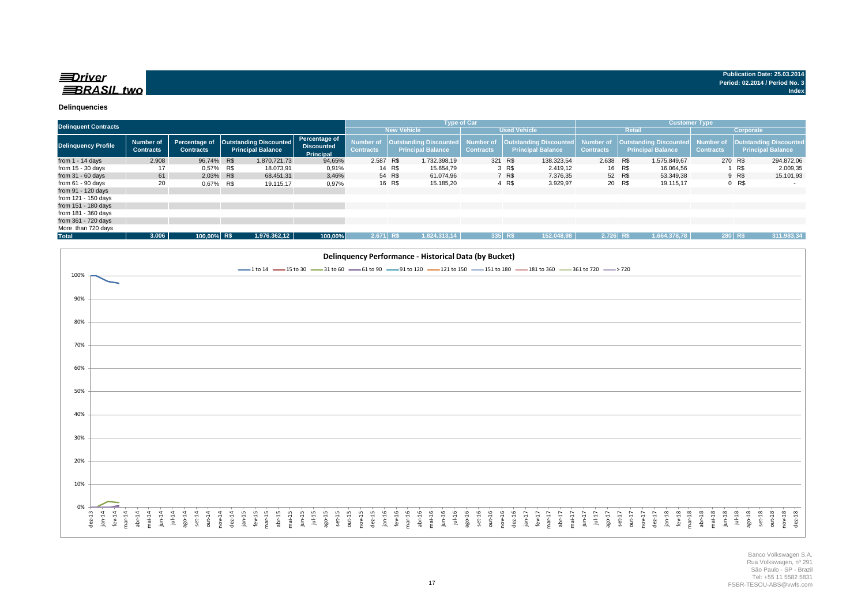| <b>Delinquent Contracts</b> |                               |                  |                                                                    |                                                 |                              |                    | <b>Type of Car</b>                                        |                               |         |                                                    | <b>Customer Type</b>                 |        |                                                                     |                  |         |                                                           |
|-----------------------------|-------------------------------|------------------|--------------------------------------------------------------------|-------------------------------------------------|------------------------------|--------------------|-----------------------------------------------------------|-------------------------------|---------|----------------------------------------------------|--------------------------------------|--------|---------------------------------------------------------------------|------------------|---------|-----------------------------------------------------------|
|                             |                               |                  |                                                                    |                                                 |                              | <b>New Vehicle</b> |                                                           | <b>Used Vehicle</b>           |         |                                                    | Retail                               |        |                                                                     | Corporate        |         |                                                           |
| <b>Delinquency Profile</b>  | Number of<br><b>Contracts</b> | <b>Contracts</b> | Percentage of   Outstanding Discounted<br><b>Principal Balance</b> | Percentage of<br><b>Discounted</b><br>Principal | Number o<br><b>Contracts</b> |                    | <b>Outstanding Discounted</b><br><b>Principal Balance</b> | Number of<br><b>Contracts</b> |         | Outstanding Discounted<br><b>Principal Balance</b> | <b>Number of</b><br><b>Contracts</b> |        | <b>Outstanding Discounted Number of</b><br><b>Principal Balance</b> | <b>Contracts</b> |         | <b>Outstanding Discounted</b><br><b>Principal Balance</b> |
| from $1 - 14$ days          | 2.908                         | 96.74% R\$       | 1.870.721.73                                                       | 94.65%                                          | 2.587 R\$                    |                    | 1.732.398.19                                              |                               | 321 R\$ | 138.323.54                                         | 2.638 R\$                            |        | 1.575.849.67                                                        |                  | 270 R\$ | 294.872.06                                                |
| from $15 - 30$ days         | 17                            | 0.57% R\$        | 18.073,91                                                          | 0,91%                                           |                              | 14 R\$             | 15.654,79                                                 |                               | 3 R\$   | 2.419.12                                           |                                      | 16 R\$ | 16.064.56                                                           |                  | ∣ R\$   | 2.009,35                                                  |
| from $31 - 60$ days         | 61                            | 2.03% R\$        | 68.451.31                                                          | 3,46%                                           |                              | 54 R\$             | 61.074.96                                                 |                               | 7 R\$   | 7.376.35                                           |                                      | 52 R\$ | 53.349,38                                                           |                  | 9 R\$   | 15.101,93                                                 |
| from $61 - 90$ days         | 20                            | 0.67% R\$        | 19.115,17                                                          | 0,97%                                           |                              | 16 R\$             | 15.185.20                                                 |                               | 4 R\$   | 3.929.97                                           |                                      | 20 R\$ | 19.115.17                                                           |                  | 0 R\$   |                                                           |
| from 91 - 120 days          |                               |                  |                                                                    |                                                 |                              |                    |                                                           |                               |         |                                                    |                                      |        |                                                                     |                  |         |                                                           |
| from 121 - 150 days         |                               |                  |                                                                    |                                                 |                              |                    |                                                           |                               |         |                                                    |                                      |        |                                                                     |                  |         |                                                           |
| from 151 - 180 days         |                               |                  |                                                                    |                                                 |                              |                    |                                                           |                               |         |                                                    |                                      |        |                                                                     |                  |         |                                                           |
| from 181 - 360 days         |                               |                  |                                                                    |                                                 |                              |                    |                                                           |                               |         |                                                    |                                      |        |                                                                     |                  |         |                                                           |
| from 361 - 720 days         |                               |                  |                                                                    |                                                 |                              |                    |                                                           |                               |         |                                                    |                                      |        |                                                                     |                  |         |                                                           |
| More than 720 davs          |                               |                  |                                                                    |                                                 |                              |                    |                                                           |                               |         |                                                    |                                      |        |                                                                     |                  |         |                                                           |
| <b>Total</b>                | 3.006                         | 100.00% R\$      | 1.976.362.12                                                       | 100,00%                                         | 2.671 R\$                    |                    | 1.824.313.14                                              | 335 RS                        |         | 152.048.98                                         | 2.726 R\$                            |        | 1.664.378.78                                                        | 280 RS           |         | 311.983,34                                                |



**Publication Date: 25.03.2014 Period: 02.2014 / Period No. 3**

**Index**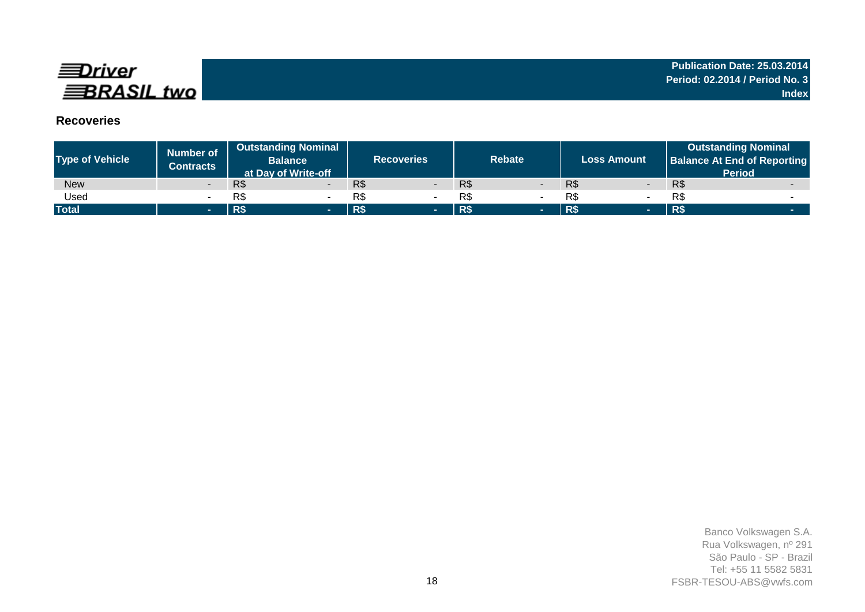

## **Recoveries**

| <b>Type of Vehicle</b> | <b>Number of</b><br><b>Contracts</b> | <b>Outstanding Nominal</b><br><b>Balance</b><br>at Day of Write-off | <b>Recoveries</b> | <b>Rebate</b> | <b>Loss Amount</b> | <b>Outstanding Nominal</b><br>Balance At End of Reporting<br><b>Period</b> |  |  |
|------------------------|--------------------------------------|---------------------------------------------------------------------|-------------------|---------------|--------------------|----------------------------------------------------------------------------|--|--|
| <b>New</b>             |                                      | R\$                                                                 | R\$               | R\$           | R\$                | R\$                                                                        |  |  |
| Used                   |                                      | R\$                                                                 | R\$               | R\$           | R\$                | R\$                                                                        |  |  |
| <b>Total</b>           | -                                    | R\$                                                                 | R\$<br>-          | R\$           | R\$<br>-           | <b>R\$</b>                                                                 |  |  |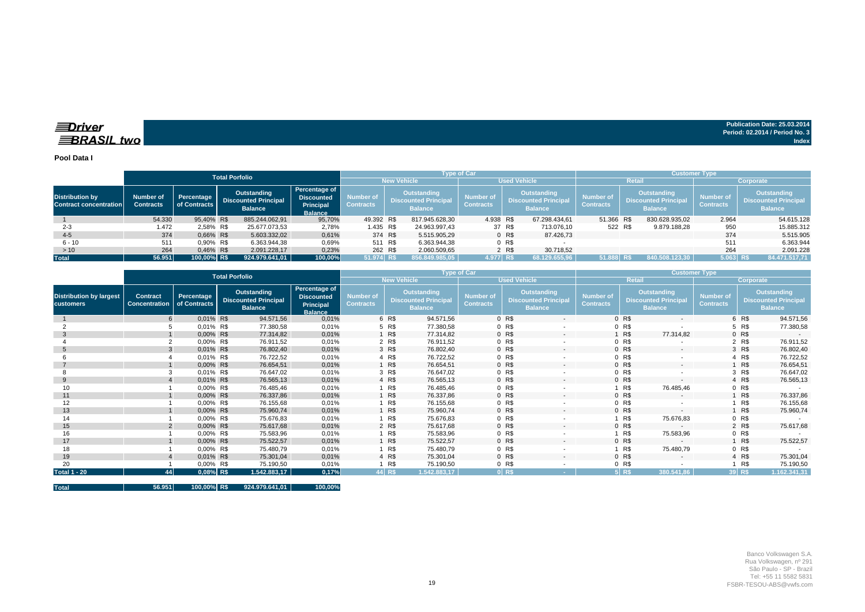### $\equiv$ Driver **BRASIL** two

**Publication Date: 25.03.2014 Period: 02.2014 / Period No. 3 Index**

**Pool Data I**

|                                                  |                                      |                            | <b>Total Porfolio</b> |                                                              |                                                                          |                               |                                                                     | <b>Type of Car</b>                   |        |                                                                     | <b>Customer Type</b>                 |               |                                                                     |                               |                                                              |  |  |  |
|--------------------------------------------------|--------------------------------------|----------------------------|-----------------------|--------------------------------------------------------------|--------------------------------------------------------------------------|-------------------------------|---------------------------------------------------------------------|--------------------------------------|--------|---------------------------------------------------------------------|--------------------------------------|---------------|---------------------------------------------------------------------|-------------------------------|--------------------------------------------------------------|--|--|--|
|                                                  |                                      |                            |                       |                                                              |                                                                          |                               | <b>New Vehicle</b>                                                  |                                      |        | <b>Used Vehicle</b>                                                 |                                      | <b>Retail</b> |                                                                     |                               | Corporate                                                    |  |  |  |
| <b>Distribution by</b><br>Contract concentration | <b>Number of</b><br><b>Contracts</b> | Percentage<br>of Contracts |                       | Outstanding<br><b>Discounted Principal</b><br><b>Balance</b> | Percentage of<br><b>Discounted</b><br><b>Principal</b><br><b>Balance</b> | Number of<br><b>Contracts</b> | <b>Outstanding</b><br><b>Discounted Principal</b><br><b>Balance</b> | <b>Number of</b><br><b>Contracts</b> |        | <b>Outstanding</b><br><b>Discounted Principal</b><br><b>Balance</b> | <b>Number of</b><br><b>Contracts</b> |               | <b>Outstanding</b><br><b>Discounted Principal</b><br><b>Balance</b> | Number of<br><b>Contracts</b> | Outstanding<br><b>Discounted Principal</b><br><b>Balance</b> |  |  |  |
|                                                  | 54.330                               | 95,40% R\$                 |                       | 885.244.062.91                                               | 95,70%                                                                   | 49.392 R\$                    | 817.945.628,30                                                      | 4.938 R\$                            |        | 67.298.434.61                                                       | 51.366 R\$                           |               | 830.628.935.02                                                      | 2.964                         | 54.615.128                                                   |  |  |  |
| $2 - 3$                                          | 1.472                                | 2,58% R\$                  |                       | 25.677.073.53                                                | 2,78%                                                                    | 1.435 R\$                     | 24.963.997.43                                                       |                                      | 37 R\$ | 713.076,10                                                          | 522 R\$                              |               | 9.879.188.28                                                        | 950                           | 15.885.312                                                   |  |  |  |
| $4 - 5$                                          | 374                                  | 0.66% R\$                  |                       | 5.603.332.02                                                 | 0,61%                                                                    | 374 R\$                       | 5.515.905,29                                                        |                                      | 0 R\$  | 87.426.73                                                           |                                      |               |                                                                     | 374                           | 5.515.905                                                    |  |  |  |
| $6 - 10$                                         | 511                                  | 0.90% R\$                  |                       | 6.363.944,38                                                 | 0,69%                                                                    | 511 R\$                       | 6.363.944.38                                                        |                                      | 0 R\$  |                                                                     |                                      |               |                                                                     | 511                           | 6.363.944                                                    |  |  |  |
| >10                                              | 264                                  | 0.46% R\$                  |                       | 2.091.228.17                                                 | 0,23%                                                                    | 262 R\$                       | 2.060.509,65                                                        |                                      | 2 R\$  | 30.718.52                                                           |                                      |               |                                                                     | 264                           | 2.091.228                                                    |  |  |  |
| <b>Total</b>                                     | 56.951                               | 100.00% R\$                |                       | 924.979.641.01                                               | 100.00%                                                                  | 51.974 R\$                    | 856.849.985,05                                                      | 4.977 RS                             |        | 68.129.655,96                                                       | 51.888 R\$                           |               | 840.508.123.30                                                      | $5.063$ R\$                   | 84.471.517,71                                                |  |  |  |

|                                             |                                                      |            | <b>Total Porfolio</b>                                        |                                                                   |                                      |                    | <b>Type of Car</b>                                          |                                      |                     |                                                                     | <b>Customer Type</b>                 |         |                                                              |                                      |            |                                                                     |  |  |
|---------------------------------------------|------------------------------------------------------|------------|--------------------------------------------------------------|-------------------------------------------------------------------|--------------------------------------|--------------------|-------------------------------------------------------------|--------------------------------------|---------------------|---------------------------------------------------------------------|--------------------------------------|---------|--------------------------------------------------------------|--------------------------------------|------------|---------------------------------------------------------------------|--|--|
|                                             |                                                      |            |                                                              |                                                                   |                                      | <b>New Vehicle</b> |                                                             |                                      | <b>Used Vehicle</b> |                                                                     |                                      |         | <b>Retail</b>                                                |                                      | Corporate  |                                                                     |  |  |
| <b>Distribution by largest</b><br>customers | <b>Contract</b><br><b>Concentration</b> of Contracts | Percentage | Outstanding<br><b>Discounted Principal</b><br><b>Balance</b> | Percentage of<br><b>Discounted</b><br>Principal<br><b>Balance</b> | <b>Number of</b><br><b>Contracts</b> |                    | Outstanding<br><b>Discounted Principa</b><br><b>Balance</b> | <b>Number of</b><br><b>Contracts</b> |                     | <b>Outstanding</b><br><b>Discounted Principal</b><br><b>Balance</b> | <b>Number of</b><br><b>Contracts</b> |         | Outstanding<br><b>Discounted Principal</b><br><b>Balance</b> | <b>Number of</b><br><b>Contracts</b> |            | <b>Outstanding</b><br><b>Discounted Principal</b><br><b>Balance</b> |  |  |
|                                             | 6                                                    | 0,01% R\$  | 94.571,56                                                    | 0,01%                                                             |                                      | 6 R\$              | 94.571,56                                                   |                                      | 0 R\$               | $\overline{\phantom{a}}$                                            |                                      | 0 R\$   | $\sim$                                                       |                                      | 6 R\$      | 94.571,56                                                           |  |  |
|                                             |                                                      | 0,01% R\$  | 77.380,58                                                    | 0,01%                                                             |                                      | 5 R\$              | 77.380,58                                                   |                                      | 0 R\$               | $\overline{\phantom{a}}$                                            |                                      | 0 R\$   |                                                              |                                      | 5 R\$      | 77.380,58                                                           |  |  |
| 3                                           |                                                      | 0,00% R\$  | 77.314,82                                                    | 0,01%                                                             |                                      | 1 R\$              | 77.314,82                                                   |                                      | 0 R\$               | $\overline{\phantom{a}}$                                            |                                      | R\$     | 77.314,82                                                    |                                      | 0 R\$      |                                                                     |  |  |
|                                             |                                                      | 0,00% R\$  | 76.911,52                                                    | 0,01%                                                             |                                      | 2 R\$              | 76.911,52                                                   |                                      | 0 R\$               | $\overline{\phantom{a}}$                                            |                                      | 0 R\$   |                                                              |                                      | 2 R\$      | 76.911,52                                                           |  |  |
| 5                                           |                                                      | 0,01% R\$  | 76.802,40                                                    | 0,01%                                                             |                                      | 3 R\$              | 76.802,40                                                   |                                      | 0 R\$               | $\sim$                                                              |                                      | 0 R\$   | $\sim$                                                       |                                      | 3 R\$      | 76.802,40                                                           |  |  |
|                                             |                                                      | 0,01% R\$  | 76.722,52                                                    | 0,01%                                                             |                                      | 4 R\$              | 76.722,52                                                   |                                      | 0 R\$               | $\overline{\phantom{a}}$                                            |                                      | 0 R\$   |                                                              |                                      | 4 R\$      | 76.722,52                                                           |  |  |
|                                             |                                                      | 0,00% R\$  | 76.654,51                                                    | 0,01%                                                             |                                      | 1 R\$              | 76.654,51                                                   |                                      | 0 R\$               | $\overline{\phantom{a}}$                                            |                                      | 0 R\$   | $\sim$                                                       |                                      | R\$        | 76.654,51                                                           |  |  |
|                                             |                                                      | 0,01% R\$  | 76.647,02                                                    | 0,01%                                                             |                                      | 3 R\$              | 76.647,02                                                   |                                      | 0 R\$               | $\blacksquare$                                                      |                                      | 0 R\$   |                                                              |                                      | 3 R\$      | 76.647,02                                                           |  |  |
| 9                                           |                                                      | 0,01% R\$  | 76.565,13                                                    | 0,01%                                                             |                                      | 4 R\$              | 76.565,13                                                   |                                      | 0 R\$               | $\overline{\phantom{a}}$                                            |                                      | 0 R\$   | $\sim$                                                       |                                      | 4 R\$      | 76.565,13                                                           |  |  |
| 10                                          |                                                      | 0,00% R\$  | 76.485,46                                                    | 0,01%                                                             |                                      | R\$                | 76.485,46                                                   |                                      | 0 R\$               | $\overline{\phantom{a}}$                                            |                                      | R\$     | 76.485,46                                                    |                                      | 0 R\$      |                                                                     |  |  |
| 11                                          |                                                      | 0,00% R\$  | 76.337,86                                                    | 0,01%                                                             |                                      | <b>R\$</b>         | 76.337,86                                                   |                                      | 0 R\$               | $\sim$                                                              |                                      | 0 R\$   | $\sim$                                                       |                                      | <b>R\$</b> | 76.337,86                                                           |  |  |
| 12                                          |                                                      | 0,00% R\$  | 76.155,68                                                    | 0,01%                                                             |                                      | R\$                | 76.155,68                                                   |                                      | 0 R\$               | $\overline{\phantom{a}}$                                            |                                      | 0 R\$   |                                                              |                                      | R\$        | 76.155,68                                                           |  |  |
| 13                                          |                                                      | 0,00% R\$  | 75.960,74                                                    | 0,01%                                                             |                                      | 1 R\$              | 75.960,74                                                   |                                      | 0 R\$               | $\sim$                                                              |                                      | 0 R\$   | $\sim$                                                       |                                      | R\$        | 75.960,74                                                           |  |  |
| 14                                          |                                                      | 0,00% R\$  | 75.676,83                                                    | 0,01%                                                             |                                      | R\$                | 75.676,83                                                   |                                      | 0 R\$               |                                                                     |                                      | R\$     | 75.676,83                                                    |                                      | 0 R\$      |                                                                     |  |  |
| 15                                          | $\mathcal{P}$                                        | 0,00% R\$  | 75.617,68                                                    | 0,01%                                                             |                                      | 2 R\$              | 75.617,68                                                   |                                      | 0 R\$               | $\sim$                                                              |                                      | 0 R\$   | $\sim$                                                       |                                      | 2 R\$      | 75.617,68                                                           |  |  |
| 16                                          |                                                      | 0,00% R\$  | 75.583,96                                                    | 0,01%                                                             |                                      | R\$                | 75.583,96                                                   |                                      | 0 R\$               | $\overline{\phantom{a}}$                                            |                                      | R\$     | 75.583,96                                                    |                                      | 0 R\$      |                                                                     |  |  |
| 17                                          |                                                      | 0,00% R\$  | 75.522,57                                                    | 0,01%                                                             |                                      | 1 R\$              | 75.522,57                                                   |                                      | 0 R\$               | $\overline{\phantom{a}}$                                            |                                      | 0 R\$   | $\sim$                                                       |                                      | R\$        | 75.522,57                                                           |  |  |
| 18                                          |                                                      | 0,00% R\$  | 75.480,79                                                    | 0,01%                                                             |                                      | R\$                | 75.480,79                                                   |                                      | 0 R\$               |                                                                     |                                      | R\$     | 75.480,79                                                    |                                      | 0 R\$      |                                                                     |  |  |
| 19                                          |                                                      | 0,01% R\$  | 75.301,04                                                    | 0,01%                                                             |                                      | 4 R\$              | 75.301,04                                                   |                                      | 0 R\$               | $\overline{\phantom{a}}$                                            |                                      | 0 R\$   | $\sim$                                                       |                                      | 4 R\$      | 75.301,04                                                           |  |  |
| 20                                          |                                                      | 0,00% R\$  | 75.190,50                                                    | 0,01%                                                             |                                      | R\$                | 75.190,50                                                   |                                      | 0 R\$               |                                                                     |                                      | 0 R\$   |                                                              |                                      | R\$        | 75.190,50                                                           |  |  |
| <b>Total 1 - 20</b>                         | 44                                                   | 0.08% R\$  | 1.542.883,17                                                 | 0,17%                                                             |                                      | 44 R\$             | 1.542.883,17                                                |                                      | 0 RS                |                                                                     |                                      | $5$ R\$ | 380.541.86                                                   | 39 R\$                               |            | 1.162.341,31                                                        |  |  |

| 100,00% R\$<br>924.979.641.01<br>56.951<br><b>Total</b> | 100,00% |
|---------------------------------------------------------|---------|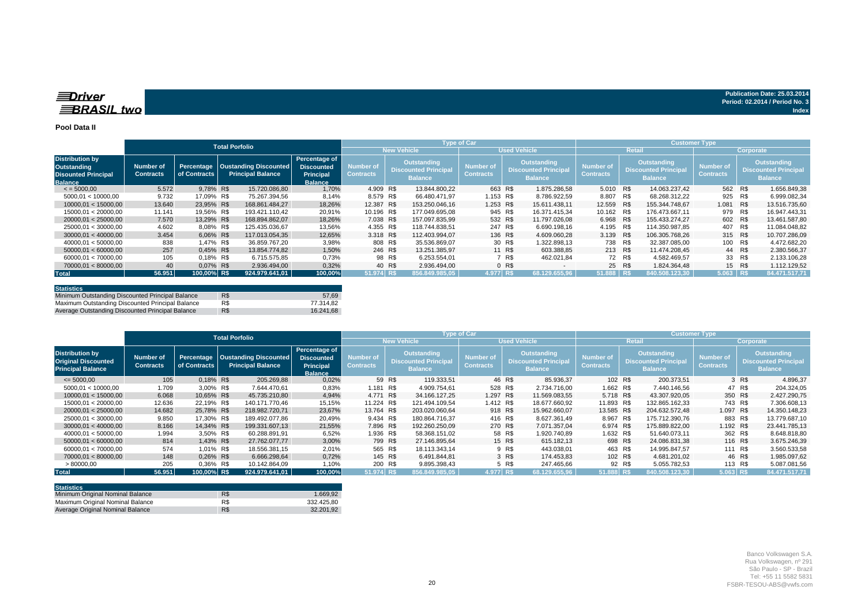#### **Pool Data II**

|                                                                                       |                                      |                            | <b>Total Porfolio</b>                             |                                                                   |                               |                    |                                                                     | <b>Type of Car</b>                   |        |                                                                     |                                      |               | <b>Customer Type</b>                                         |                                      |           |                                                              |
|---------------------------------------------------------------------------------------|--------------------------------------|----------------------------|---------------------------------------------------|-------------------------------------------------------------------|-------------------------------|--------------------|---------------------------------------------------------------------|--------------------------------------|--------|---------------------------------------------------------------------|--------------------------------------|---------------|--------------------------------------------------------------|--------------------------------------|-----------|--------------------------------------------------------------|
|                                                                                       |                                      |                            |                                                   |                                                                   |                               | <b>New Vehicle</b> |                                                                     |                                      |        | <b>Used Vehicle</b>                                                 |                                      | <b>Retail</b> |                                                              |                                      | Corporate |                                                              |
| <b>Distribution by</b><br>Outstanding<br><b>Disounted Principal</b><br><b>Balance</b> | <b>Number of</b><br><b>Contracts</b> | Percentage<br>of Contracts | Oustanding Discounted<br><b>Principal Balance</b> | Percentage of<br><b>Discounted</b><br>Principal<br><b>Balance</b> | Number of<br><b>Contracts</b> |                    | <b>Outstanding</b><br><b>Discounted Principal</b><br><b>Balance</b> | <b>Number of</b><br><b>Contracts</b> |        | <b>Outstanding</b><br><b>Discounted Principal</b><br><b>Balance</b> | <b>Number of</b><br><b>Contracts</b> |               | Outstanding<br><b>Discounted Principal</b><br><b>Balance</b> | <b>Number of</b><br><b>Contracts</b> |           | Outstanding<br><b>Discounted Principal</b><br><b>Balance</b> |
| $\le$ = 5000,00                                                                       | 5.572                                | 9,78% R\$                  | 15.720.086.80                                     | 1,70%                                                             | 4.909 R\$                     |                    | 13.844.800.22                                                       | 663 R\$                              |        | 1.875.286.58                                                        | 5.010 R\$                            |               | 14.063.237.42                                                | 562 R\$                              |           | 1.656.849.38                                                 |
| 5000,01 < 10000,00                                                                    | 9.732                                | 17,09% R\$                 | 75.267.394,56                                     | 8,14%                                                             | 8.579 R\$                     |                    | 66.480.471.97                                                       | 1.153 R\$                            |        | 8.786.922.59                                                        | 8.807                                | R\$           | 68.268.312,22                                                | 925 R\$                              |           | 6.999.082,34                                                 |
| 10000,01 < 15000,00                                                                   | 13.640                               | 23,95% R\$                 | 168.861.484,27                                    | 18,26%                                                            | 12.387 R\$                    |                    | 153.250.046.16                                                      | 1.253 R\$                            |        | 15.611.438.11                                                       | 12.559 R\$                           |               | 155.344.748.67                                               | 1.081 R\$                            |           | 13.516.735,60                                                |
| 15000,01 < 20000,00                                                                   | 11.141                               | 19,56% R\$                 | 193.421.110.42                                    | 20,91%                                                            | 10.196 R\$                    |                    | 177.049.695,08                                                      | 945 R\$                              |        | 16.371.415,34                                                       | 10.162 R\$                           |               | 176.473.667.11                                               | 979 R\$                              |           | 16.947.443.31                                                |
| 20000.01 < 25000.00                                                                   | 7.570                                | 13,29% R\$                 | 168.894.862.07                                    | 18,26%                                                            | 7.038 R\$                     |                    | 157.097.835.99                                                      | 532 R\$                              |        | 11.797.026.08                                                       | 6.968 R\$                            |               | 155.433.274.27                                               | 602 R\$                              |           | 13.461.587.80                                                |
| 25000.01 < 30000.00                                                                   | 4.602                                | 8.08% R\$                  | 125.435.036.67                                    | 13,56%                                                            | 4.355 R\$                     |                    | 118.744.838.51                                                      | 247 R\$                              |        | 6.690.198.16                                                        | 4.195 R\$                            |               | 114.350.987.85                                               | 407 R\$                              |           | 11.084.048,82                                                |
| 30000.01 < 40000.00                                                                   | 3.454                                | 6.06% R\$                  | 117.013.054.35                                    | 12,65%                                                            | 3.318 R\$                     |                    | 112.403.994.07                                                      | 136 R\$                              |        | 4.609.060.28                                                        | 3.139 R\$                            |               | 106.305.768.26                                               | 315 R\$                              |           | 10.707.286.09                                                |
| 40000.01 < 50000.00                                                                   | 838                                  | 1.47% R\$                  | 36.859.767.20                                     | 3,98%                                                             | 808 R\$                       |                    | 35.536.869.07                                                       |                                      | 30 R\$ | 1.322.898.13                                                        | 738 R\$                              |               | 32.387.085.00                                                | 100 R\$                              |           | 4.472.682.20                                                 |
| 50000.01 < 60000.00                                                                   | 257                                  | 0.45% R\$                  | 13.854.774.82                                     | 1,50%                                                             | 246 R\$                       |                    | 13.251.385.97                                                       |                                      | 11 R\$ | 603.388.85                                                          | 213 R\$                              |               | 11.474.208.45                                                |                                      | 44 R\$    | 2.380.566.37                                                 |
| 60000001 < 7000000                                                                    | 105                                  | 0.18% R\$                  | 6.715.575.85                                      | 0,73%                                                             |                               | 98 R\$             | 6.253.554.01                                                        |                                      | 7 R\$  | 462.021.84                                                          |                                      | 72 R\$        | 4.582.469,57                                                 |                                      | 33 R\$    | 2.133.106.28                                                 |
| 70000,01 < 80000,00                                                                   | 40                                   | 0.07% R\$                  | 2.936.494.00                                      | 0,32%                                                             |                               | 40 R\$             | 2.936.494.00                                                        |                                      | 0 R\$  | $\sim$                                                              |                                      | 25 R\$        | 1.824.364.48                                                 |                                      | 15 R\$    | 1.112.129,52                                                 |
| <b>Total</b>                                                                          | 56.951                               | 100,00% R\$                | 924.979.641,01                                    | 100,00%                                                           | 51.974 R\$                    |                    | 856.849.985.05                                                      | 4.977 R\$                            |        | 68.129.655.96                                                       | 51.888 R\$                           |               | 840.508.123.30                                               | $5.063$ R\$                          |           | 84.471.517,71                                                |

| <b>Statistics</b>                                |     |           |
|--------------------------------------------------|-----|-----------|
| Minimum Outstanding Discounted Principal Balance | R\$ | 57.69     |
| Maximum Outstanding Discounted Principal Balance | R\$ | 77.314.82 |
| Average Outstanding Discounted Principal Balance | R\$ | 16.241.68 |

|                                                                                  |                                      |                            | <b>Total Porfolio</b>                                    |                                                                   |                                      |        |                                                                     | Type of Car                          |        |                                                                     | <b>Customer Type</b>                 |        |                                                              |                                      |       |                                                                     |  |  |
|----------------------------------------------------------------------------------|--------------------------------------|----------------------------|----------------------------------------------------------|-------------------------------------------------------------------|--------------------------------------|--------|---------------------------------------------------------------------|--------------------------------------|--------|---------------------------------------------------------------------|--------------------------------------|--------|--------------------------------------------------------------|--------------------------------------|-------|---------------------------------------------------------------------|--|--|
|                                                                                  |                                      |                            |                                                          |                                                                   |                                      |        | <b>New Vehicle</b>                                                  |                                      |        | <b>Used Vehicle</b>                                                 |                                      |        | <b>Retail</b>                                                |                                      |       | Corporate                                                           |  |  |
| <b>Distribution by</b><br><b>Original Discounted</b><br><b>Principal Balance</b> | <b>Number of</b><br><b>Contracts</b> | Percentage<br>of Contracts | <b>Oustanding Discounted</b><br><b>Principal Balance</b> | Percentage of<br><b>Discounted</b><br>Principal<br><b>Balance</b> | <b>Number of</b><br><b>Contracts</b> |        | <b>Outstanding</b><br><b>Discounted Principal</b><br><b>Balance</b> | <b>Number of</b><br><b>Contracts</b> |        | <b>Outstanding</b><br><b>Discounted Principal</b><br><b>Balance</b> | <b>Number of</b><br><b>Contracts</b> |        | Outstanding<br><b>Discounted Principal</b><br><b>Balance</b> | <b>Number of</b><br><b>Contracts</b> |       | <b>Outstanding</b><br><b>Discounted Principal</b><br><b>Balance</b> |  |  |
| $\leq 5000,00$                                                                   | 105                                  | 0,18% R\$                  | 205.269.88                                               | 0,02%                                                             |                                      | 59 R\$ | 119.333,51                                                          |                                      | 46 R\$ | 85.936.37                                                           | 102 R\$                              |        | 200.373,51                                                   |                                      | 3 R\$ | 4.896,37                                                            |  |  |
| 5000.01 < 10000.00                                                               | 1.709                                | 3,00% R\$                  | 7.644.470.61                                             | 0,83%                                                             | 1.181 R\$                            |        | 4.909.754.61                                                        | 528 R\$                              |        | 2.734.716.00                                                        | 1.662 R\$                            |        | 7.440.146.56                                                 | 47 R\$                               |       | 204.324,05                                                          |  |  |
| 10000.01 < 15000.00                                                              | 6.068                                | 10,65% R\$                 | 45.735.210,80                                            | 4,94%                                                             | 4.771 R\$                            |        | 34.166.127.25                                                       | 1.297 R\$                            |        | 11.569.083,55                                                       | 5.718 R\$                            |        | 43.307.920.05                                                | 350 R\$                              |       | 2.427.290,75                                                        |  |  |
| 15000.01 < 20000.00                                                              | 12.636                               | 22.19% R\$                 | 140.171.770.46                                           | 15,15%                                                            | 11.224 R\$                           |        | 121.494.109.54                                                      | 1.412 R\$                            |        | 18.677.660.92                                                       | 11.893 R\$                           |        | 132.865.162.33                                               | 743 R\$                              |       | 7.306.608,13                                                        |  |  |
| 20000,01 < 25000,00                                                              | 14.682                               | 25,78% R\$                 | 218.982.720,71                                           | 23,67%                                                            | 13.764 R\$                           |        | 203.020.060,64                                                      | 918 R\$                              |        | 15.962.660,07                                                       | 13.585 R\$                           |        | 204.632.572,48                                               | 1.097 R\$                            |       | 14.350.148,23                                                       |  |  |
| 25000.01 < 30000.00                                                              | 9.850                                | 17.30% R\$                 | 189.492.077,86                                           | 20,49%                                                            | 9.434 R\$                            |        | 180.864.716.37                                                      | 416 R\$                              |        | 8.627.361.49                                                        | 8.967 R\$                            |        | 175.712.390,76                                               | 883 R\$                              |       | 13.779.687,10                                                       |  |  |
| 30000.01 < 40000.00                                                              | 8.166                                | 14.34% R\$                 | 199.331.607.13                                           | 21,55%                                                            | 7.896 R\$                            |        | 192.260.250.09                                                      | 270 R\$                              |        | 7.071.357.04                                                        | 6.974 R\$                            |        | 175.889.822.00                                               | 1.192 R\$                            |       | 23.441.785.13                                                       |  |  |
| 40000,01 < 50000,00                                                              | 1.994                                | 3,50% R\$                  | 60.288.891,91                                            | 6,52%                                                             | 1.936 R\$                            |        | 58.368.151,02                                                       |                                      | 58 R\$ | 1.920.740,89                                                        | 1.632 R\$                            |        | 51.640.073,11                                                | 362 R\$                              |       | 8.648.818,80                                                        |  |  |
| 50000.01 < 60000.00                                                              | 814                                  | 1,43% R\$                  | 27.762.077.77                                            | 3,00%                                                             | 799 R\$                              |        | 27.146.895,64                                                       |                                      | 15 R\$ | 615.182,13                                                          | 698 R\$                              |        | 24.086.831.38                                                | 116 R\$                              |       | 3.675.246,39                                                        |  |  |
| 60000,01 < 70000,00                                                              | 574                                  | 1,01% R\$                  | 18.556.381,15                                            | 2,01%                                                             | 565 R\$                              |        | 18.113.343,14                                                       |                                      | 9 R\$  | 443.038,01                                                          | 463 R\$                              |        | 14.995.847,57                                                | 111 R\$                              |       | 3.560.533,58                                                        |  |  |
| 70000,01 < 80000,00                                                              | 148                                  | 0,26% R\$                  | 6.666.298,64                                             | 0,72%                                                             | 145 R\$                              |        | 6.491.844,81                                                        |                                      | 3 R\$  | 174.453,83                                                          | 102 R\$                              |        | 4.681.201,02                                                 | 46 R\$                               |       | 1.985.097,62                                                        |  |  |
| >80000,00                                                                        | 205                                  | 0.36% R\$                  | 10.142.864,09                                            | 1,10%                                                             | 200 R\$                              |        | 9.895.398,43                                                        |                                      | 5 R\$  | 247.465,66                                                          |                                      | 92 R\$ | 5.055.782,53                                                 | 113 R\$                              |       | 5.087.081,56                                                        |  |  |
| Total                                                                            | 56.951                               | 100,00% R\$                | 924.979.641.01                                           | 100,00%                                                           | 51.974 R\$                           |        | 856.849.985.05                                                      | 4.977 R\$                            |        | 68.129.655.96                                                       | 51.888 R\$                           |        | 840.508.123.30                                               | $5.063$ R\$                          |       | 84.471.517.71                                                       |  |  |

| <b>Statistics</b>                |     |            |
|----------------------------------|-----|------------|
| Minimum Original Nominal Balance | R\$ | 1.669.92   |
| Maximum Original Nominal Balance | R\$ | 332.425.80 |
| Average Original Nominal Balance | R\$ | 32.201.92  |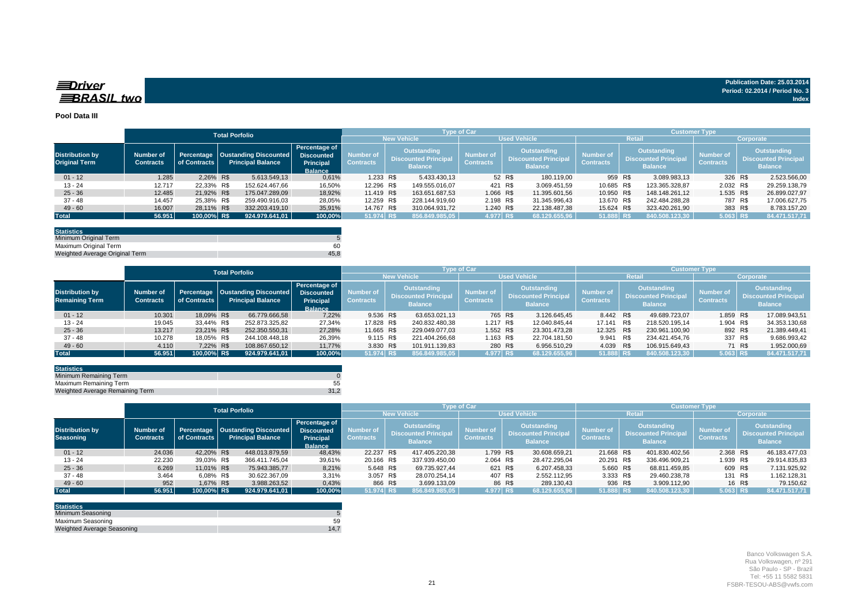### **Spriver BRASIL** two

#### **Pool Data III**

|                                                |                               |              | <b>Total Porfolio</b> |                                                                  |                                                                   | <b>Customer Type</b><br><b>Type of Car</b> |  |                                                              |                               |           |        |                                                                     |                               |         |                                                              |                                      |           |                                                                     |
|------------------------------------------------|-------------------------------|--------------|-----------------------|------------------------------------------------------------------|-------------------------------------------------------------------|--------------------------------------------|--|--------------------------------------------------------------|-------------------------------|-----------|--------|---------------------------------------------------------------------|-------------------------------|---------|--------------------------------------------------------------|--------------------------------------|-----------|---------------------------------------------------------------------|
|                                                |                               |              |                       |                                                                  |                                                                   |                                            |  | <b>New Vehicle</b>                                           |                               |           |        | <b>Used Vehicle</b>                                                 |                               |         | <b>Retail</b>                                                |                                      | Corporate |                                                                     |
| <b>Distribution by</b><br><b>Original Term</b> | Number of<br><b>Contracts</b> | of Contracts |                       | Percentage   Oustanding Discounted  <br><b>Principal Balance</b> | Percentage of<br><b>Discounted</b><br>Principal<br><b>Balance</b> | Number of<br><b>Contracts</b>              |  | Outstanding<br><b>Discounted Principal</b><br><b>Balance</b> | Number of<br><b>Contracts</b> |           |        | <b>Outstanding</b><br><b>Discounted Principal</b><br><b>Balance</b> | Number of<br><b>Contracts</b> |         | Outstanding<br><b>Discounted Principal</b><br><b>Balance</b> | <b>Number of</b><br><b>Contracts</b> |           | <b>Outstanding</b><br><b>Discounted Principal</b><br><b>Balance</b> |
| $01 - 12$                                      | 1.285                         | 2.26% R\$    |                       | 5.613.549,13                                                     | 0,61%                                                             | 1.233 R\$                                  |  | 5.433.430,13                                                 |                               |           | 52 R\$ | 180.119.00                                                          |                               | 959 R\$ | 3.089.983.13                                                 | 326 R\$                              |           | 2.523.566,00                                                        |
| 13 - 24                                        | 12.717                        | 22.33% R\$   |                       | 152.624.467.66                                                   | 16,50%                                                            | 12.296 R\$                                 |  | 149.555.016.07                                               |                               | 421 R\$   |        | 3.069.451.59                                                        | 10.685 R\$                    |         | 123.365.328.87                                               | 2.032 R\$                            |           | 29.259.138,79                                                       |
| $25 - 36$                                      | 12.485                        | 21,92% R\$   |                       | 175.047.289.09                                                   | 18.92%                                                            | 11.419 R\$                                 |  | 163.651.687.53                                               |                               | 1.066 R\$ |        | 11.395.601.56                                                       | 10.950 R\$                    |         | 148.148.261.12                                               | 1.535 R\$                            |           | 26.899.027,97                                                       |
| $37 - 48$                                      | 14.457                        | 25,38% R\$   |                       | 259.490.916,03                                                   | 28,05%                                                            | 12.259 R\$                                 |  | 228.144.919.60                                               |                               | 2.198 R\$ |        | 31.345.996,43                                                       | 13.670 R\$                    |         | 242.484.288.28                                               | 787 R\$                              |           | 17.006.627,75                                                       |
| $49 - 60$                                      | 16.007                        | 28.11% R\$   |                       | 332.203.419.10                                                   | 35,91%                                                            | 14.767 R\$                                 |  | 310.064.931.72                                               |                               | 1.240 R\$ |        | 22.138.487,38                                                       | 15.624 R\$                    |         | 323.420.261.90                                               | 383 R\$                              |           | 8.783.157,20                                                        |
| <b>Total</b>                                   | 56.951                        | 100,00% R\$  |                       | 924.979.641.01                                                   | 100,00%                                                           | 51.974 R\$                                 |  | 856.849.985,05                                               |                               | 4.977 R\$ |        | 68.129.655,96                                                       | 51.888 R\$                    |         | 840.508.123.30                                               | $5.063$ R\$                          |           | 84.471.517,71                                                       |

| <b>Statistics</b>              |      |
|--------------------------------|------|
| Minimum Original Term          |      |
| Maximum Original Term          | 60   |
| Weighted Average Original Term | 45.8 |

|                                                 |                                      |              | <b>Total Porfolio</b>                                            |                                                                          |                                      |                                                              | <b>Type of Car</b>            |             |                                                       | <b>Customer Type</b>          |        |                                                                     |                                      |                                                              |  |  |  |
|-------------------------------------------------|--------------------------------------|--------------|------------------------------------------------------------------|--------------------------------------------------------------------------|--------------------------------------|--------------------------------------------------------------|-------------------------------|-------------|-------------------------------------------------------|-------------------------------|--------|---------------------------------------------------------------------|--------------------------------------|--------------------------------------------------------------|--|--|--|
|                                                 |                                      |              |                                                                  |                                                                          |                                      | <b>New Vehicle</b>                                           |                               |             | <b>Used Vehicle</b>                                   |                               | Retail |                                                                     |                                      | Corporate                                                    |  |  |  |
| <b>Distribution by</b><br><b>Remaining Term</b> | <b>Number of</b><br><b>Contracts</b> | of Contracts | Percentage   Oustanding Discounted  <br><b>Principal Balance</b> | Percentage of<br><b>Discounted</b><br><b>Principal</b><br><b>Balance</b> | <b>Number of</b><br><b>Contracts</b> | Outstanding<br><b>Discounted Principal</b><br><b>Balance</b> | Number of<br><b>Contracts</b> |             | Outstanding<br>Discounted Principal<br><b>Balance</b> | Number of<br><b>Contracts</b> |        | <b>Outstanding</b><br><b>Discounted Principal</b><br><b>Balance</b> | <b>Number of</b><br><b>Contracts</b> | Outstanding<br><b>Discounted Principal</b><br><b>Balance</b> |  |  |  |
| $01 - 12$                                       | 10.301                               | 18.09% R\$   | 66.779.666.58                                                    | 7.22%                                                                    | 9.536 R\$                            | 63.653.021,13                                                |                               | 765 R\$     | 3.126.645.45                                          | 8.442 R\$                     |        | 49.689.723.07                                                       | 1.859 R\$                            | 17.089.943,51                                                |  |  |  |
| $13 - 24$                                       | 19.045                               | 33.44% R\$   | 252.873.325,82                                                   | 27,34%                                                                   | 17.828 R\$                           | 240.832.480,38                                               |                               | 1.217 R\$   | 12.040.845,44                                         | 17.141 R\$                    |        | 218.520.195,14                                                      | 1.904 R\$                            | 34.353.130,68                                                |  |  |  |
| $25 - 36$                                       | 13.217                               | 23.21% R\$   | 252.350.550,31                                                   | 27.28%                                                                   | 11.665 R\$                           | 229.049.077.03                                               |                               | 1.552 R\$   | 23.301.473,28                                         | 12.325 R\$                    |        | 230.961.100.90                                                      | 892 R\$                              | 21.389.449.41                                                |  |  |  |
| $37 - 48$                                       | 10.278                               | 18.05% R\$   | 244.108.448.18                                                   | 26,39%                                                                   | 9.115 R\$                            | 221.404.266.68                                               |                               | 1.163 R\$   | 22.704.181,50                                         | 9.941                         | R\$    | 234.421.454.76                                                      | 337 R\$                              | 9.686.993,42                                                 |  |  |  |
| $49 - 60$                                       | 4.110                                | 7.22% R\$    | 108.867.650,12                                                   | 11,77%                                                                   | 3.830 R\$                            | 101.911.139,83                                               |                               | 280 R\$     | 6.956.510,29                                          | 4.039 R\$                     |        | 106.915.649,43                                                      |                                      | 71 R\$<br>1.952.000,69                                       |  |  |  |
| <b>Total</b>                                    | 56.951                               | 100.00% R\$  | 924.979.641,01                                                   | 100,00%                                                                  | 51.974 R\$                           | 856.849.985.05                                               |                               | $4.977$ R\$ | 68.129.655.96                                         | 51.888 R\$                    |        | 840.508.123,30                                                      | $5.063$ R\$                          | 84.471.517,71                                                |  |  |  |

| <b>Statistics</b>               |      |
|---------------------------------|------|
| Minimum Remaining Term          |      |
| Maximum Remaining Term          | 55   |
| Weighted Average Remaining Term | 31.2 |

|                                            |                               |              | <b>Total Porfolio</b>                                          |                                                                          |                                     |                                                              | <b>Vpe of Car</b>                    |        |                                                                     | <b>Customer Type</b>          |         |                                                              |                               |           |                                                                     |  |  |
|--------------------------------------------|-------------------------------|--------------|----------------------------------------------------------------|--------------------------------------------------------------------------|-------------------------------------|--------------------------------------------------------------|--------------------------------------|--------|---------------------------------------------------------------------|-------------------------------|---------|--------------------------------------------------------------|-------------------------------|-----------|---------------------------------------------------------------------|--|--|
|                                            |                               |              |                                                                |                                                                          |                                     | <b>New Vehicle</b>                                           |                                      |        | <b>Used Vehicle</b>                                                 |                               |         | <b>Retail</b>                                                |                               | Corporate |                                                                     |  |  |
| <b>Distribution by</b><br><b>Seasoning</b> | Number of<br><b>Contracts</b> | of Contracts | Percentage   Oustanding Discounted<br><b>Principal Balance</b> | Percentage of<br><b>Discounted</b><br><b>Principal</b><br><b>Balance</b> | Number of<br>Contracts <sup>1</sup> | Outstanding<br><b>Discounted Principal</b><br><b>Balance</b> | <b>Number of</b><br><b>Contracts</b> |        | <b>Outstanding</b><br><b>Discounted Principal</b><br><b>Balance</b> | Number of<br><b>Contracts</b> |         | Outstanding<br><b>Discounted Principal</b><br><b>Balance</b> | Number of<br><b>Contracts</b> |           | <b>Outstanding</b><br><b>Discounted Principal</b><br><b>Balance</b> |  |  |
| $01 - 12$                                  | 24.036                        | 42.20% R\$   | 448.013.879,59                                                 | 48,43%                                                                   | 22.237 R\$                          | 417.405.220.38                                               | 1.799 R\$                            |        | 30.608.659.21                                                       | 21.668 R\$                    |         | 401.830.402.56                                               | 2.368 R\$                     |           | 46.183.477,03                                                       |  |  |
| 13 - 24                                    | 22.230                        | 39.03% R\$   | 366.411.745.04                                                 | 39,61%                                                                   | 20.166 R\$                          | 337.939.450.00                                               | 2.064 R\$                            |        | 28.472.295.04                                                       | 20.291 R\$                    |         | 336.496.909.21                                               | 1.939 R\$                     |           | 29.914.835,83                                                       |  |  |
| $25 - 36$                                  | 6.269                         | 11.01% R\$   | 75.943.385,77                                                  | 8,21%                                                                    | 5.648 R\$                           | 69.735.927,44                                                | 621 R\$                              |        | 6.207.458,33                                                        | 5.660 R\$                     |         | 68.811.459.85                                                | 609 R\$                       |           | 7.131.925,92                                                        |  |  |
| $37 - 48$                                  | 3.464                         | 6.08% R\$    | 30.622.367,09                                                  | 3,31%                                                                    | 3.057 R\$                           | 28.070.254.14                                                | 407 R\$                              |        | 2.552.112,95                                                        | 3.333 R\$                     |         | 29.460.238.78                                                | 131 R\$                       |           | 1.162.128,31                                                        |  |  |
| $49 - 60$                                  | 952                           | 1.67% R\$    | 3.988.263.52                                                   | 0,43%                                                                    | 866 R\$                             | 3.699.133.09                                                 |                                      | 86 R\$ | 289.130.43                                                          |                               | 936 R\$ | 3.909.112.90                                                 |                               | 16 R\$    | 79.150.62                                                           |  |  |
| <b>Total</b>                               | 56.951                        | 100,00% R\$  | 924.979.641.01                                                 | 100,00%                                                                  | 51.974 R\$                          | 856.849.985.05                                               | 4.977 R\$                            |        | 68.129.655,96                                                       | 51.888 R\$                    |         | 840.508.123.30                                               | $5.063$ RS                    |           | 84.471.517,71                                                       |  |  |

| <b>Statistics</b>          |      |
|----------------------------|------|
| Minimum Seasoning          |      |
| Maximum Seasoning          |      |
| Weighted Average Seasoning | 14.7 |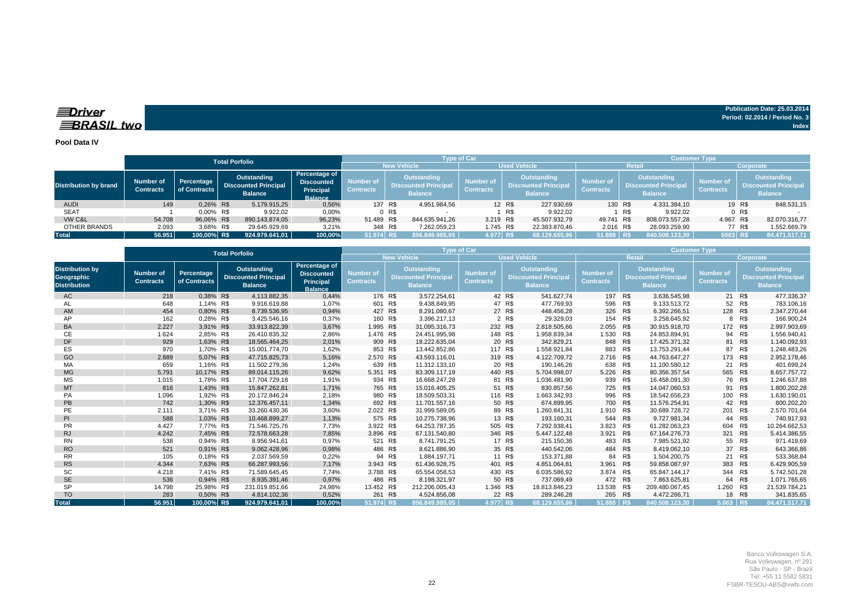### **Spriver BRASIL** two

#### **Pool Data IV**

|                              | <b>Total Porfolio</b>                |                            |                                                              |                                                                          |                               |                                                                     |                | <b>Type of Car</b>                   |                                                                     |               | <b>Customer Type</b>                 |                                                                     |                |                                      |                                                              |               |  |  |  |
|------------------------------|--------------------------------------|----------------------------|--------------------------------------------------------------|--------------------------------------------------------------------------|-------------------------------|---------------------------------------------------------------------|----------------|--------------------------------------|---------------------------------------------------------------------|---------------|--------------------------------------|---------------------------------------------------------------------|----------------|--------------------------------------|--------------------------------------------------------------|---------------|--|--|--|
|                              |                                      |                            |                                                              |                                                                          |                               | <b>New Vehicle</b>                                                  |                | <b>Used Vehicle</b>                  |                                                                     | Retail        | Corporate                            |                                                                     |                |                                      |                                                              |               |  |  |  |
| <b>Distribution by brand</b> | <b>Number of</b><br><b>Contracts</b> | Percentage<br>of Contracts | Outstanding<br><b>Discounted Principal</b><br><b>Balance</b> | Percentage of<br><b>Discounted</b><br><b>Principal</b><br><b>Balance</b> | Number of<br><b>Contracts</b> | <b>Outstanding</b><br><b>Discounted Principal</b><br><b>Balance</b> |                | <b>Number of</b><br><b>Contracts</b> | <b>Outstanding</b><br><b>Discounted Principal</b><br><b>Balance</b> |               | <b>Number of</b><br><b>Contracts</b> | <b>Outstanding</b><br><b>Discounted Principal</b><br><b>Balance</b> |                | <b>Number of</b><br><b>Contracts</b> | Outstanding<br><b>Discounted Principal</b><br><b>Balance</b> |               |  |  |  |
| <b>AUDI</b>                  | 149                                  | 0.26% R\$                  | 5.179.915,25                                                 | 0,56%                                                                    |                               | 137 R\$                                                             | 4.951.984,56   |                                      | 12 R\$                                                              | 227.930,69    | 130 R\$                              |                                                                     | 4.331.384,10   |                                      | 19 R\$                                                       | 848.531,15    |  |  |  |
| <b>SEAT</b>                  |                                      | $0.00\%$ R\$               | 9.922.02                                                     | 0,00%                                                                    |                               | 0 R\$                                                               |                |                                      | R\$                                                                 | 9.922.02      |                                      | R\$                                                                 | 9.922.02       |                                      | $0$ R\$                                                      |               |  |  |  |
| VW C&L                       | 54.708                               | 96.06% R\$                 | 890.143.874,05                                               | 96,23%                                                                   | 51.489 R\$                    |                                                                     | 844.635.941.26 | 3.219 R\$                            |                                                                     | 45.507.932,79 | 49.741 R\$                           |                                                                     | 808.073.557.28 | 4.967 R\$                            |                                                              | 82.070.316,77 |  |  |  |
| OTHER BRANDS                 | 2.093                                | 3,68% R\$                  | 29.645.929.69                                                | 3,21%                                                                    |                               | 348 R\$                                                             | 7.262.059,23   | 1.745 R\$                            |                                                                     | 22.383.870,46 | 2.016 R\$                            |                                                                     | 28.093.259.90  |                                      | 77 R\$                                                       | 1.552.669,79  |  |  |  |
| <b>Total</b>                 | 56.951                               | 100,00% R\$                | 924.979.641,01                                               | 100,00%                                                                  | 51.974 R\$                    |                                                                     | 856.849.985,05 | 4.977 R\$                            |                                                                     | 68.129.655.96 | 51.888 R\$                           |                                                                     | 840.508.123,30 | 5063 R\$                             |                                                              | 84.471.517,71 |  |  |  |

|                                                             |                               |                            | <b>Total Porfolio</b>                                        |                                                                          |                                                                                                            | <b>Type of Car</b>     |                                                                                                             |               | <b>Customer Type</b>          |                                                                     |     |                               |                                                                     |        |               |
|-------------------------------------------------------------|-------------------------------|----------------------------|--------------------------------------------------------------|--------------------------------------------------------------------------|------------------------------------------------------------------------------------------------------------|------------------------|-------------------------------------------------------------------------------------------------------------|---------------|-------------------------------|---------------------------------------------------------------------|-----|-------------------------------|---------------------------------------------------------------------|--------|---------------|
|                                                             |                               |                            |                                                              |                                                                          | <b>New Vehicle</b>                                                                                         |                        |                                                                                                             | <b>Retail</b> | Corporate                     |                                                                     |     |                               |                                                                     |        |               |
| <b>Distribution by</b><br>Geographic<br><b>Distribution</b> | Number of<br><b>Contracts</b> | Percentage<br>of Contracts | Outstanding<br><b>Discounted Principal</b><br><b>Balance</b> | Percentage of<br><b>Discounted</b><br><b>Principal</b><br><b>Balance</b> | <b>Outstanding</b><br><b>Number of</b><br><b>Discounted Principa</b><br><b>Contracts</b><br><b>Balance</b> |                        | <b>Outstanding</b><br><b>Number of</b><br><b>Discounted Principal</b><br><b>Contracts</b><br><b>Balance</b> |               | Number of<br><b>Contracts</b> | <b>Outstanding</b><br><b>Discounted Principal</b><br><b>Balance</b> |     | Number of<br><b>Contracts</b> | <b>Outstanding</b><br><b>Discounted Principal</b><br><b>Balance</b> |        |               |
| AC                                                          | 218                           | 0,38% R\$                  | 4.113.882,35                                                 | 0,44%                                                                    | 176 R\$                                                                                                    | 3.572.254,61           |                                                                                                             | 42 R\$        | 541.627,74                    | 197 R\$                                                             |     | 3.636.545,98                  |                                                                     | 21 R\$ | 477.336,37    |
| <b>AL</b>                                                   | 648                           | 1.14% R\$                  | 9.916.619.88                                                 | 1,07%                                                                    | 601 R\$                                                                                                    | 9.438.849.95           |                                                                                                             | 47 R\$        | 477.769,93                    | 596                                                                 | R\$ | 9.133.513,72                  | 52                                                                  | R\$    | 783.106,16    |
| AM                                                          | 454                           | 0,80% R\$                  | 8.739.536,95                                                 | 0,94%                                                                    | 427 R\$                                                                                                    | 8.291.080,67           |                                                                                                             | 27 R\$        | 448.456,28                    | 326 R\$                                                             |     | 6.392.266,51                  | 128 R\$                                                             |        | 2.347.270,44  |
| AP                                                          | 162                           | 0.28% R\$                  | 3.425.546.16                                                 | 0,37%                                                                    | 160 R\$                                                                                                    | 3.396.217,13           |                                                                                                             | 2 R\$         | 29.329,03                     | 154                                                                 | R\$ | 3.258.645,92                  | 8                                                                   | R\$    | 166.900,24    |
| BA                                                          | 2.227                         | 3,91% R\$                  | 33.913.822.39                                                | 3,67%                                                                    | 1.995 R\$                                                                                                  | 31.095.316.73          |                                                                                                             | 232 R\$       | 2.818.505.66                  | 2.055 R\$                                                           |     | 30.915.918,70                 | 172 R\$                                                             |        | 2.997.903,69  |
| CЕ                                                          | 1.624                         | 2,85% R\$                  | 26.410.835,32                                                | 2,86%                                                                    | 1.476 R\$                                                                                                  | 24.451.995,98          |                                                                                                             | 148 R\$       | 1.958.839,34                  | 1.530 R\$                                                           |     | 24.853.894,91                 | 94                                                                  | R\$    | 1.556.940,41  |
| DF                                                          | 929                           | 1.63% R\$                  | 18.565.464.25                                                | 2,01%                                                                    | 909 R\$                                                                                                    | 18.222.635.04          |                                                                                                             | 20 R\$        | 342.829,21                    | 848 R\$                                                             |     | 17.425.371.32                 | 81                                                                  | R\$    | 1.140.092,93  |
| ES                                                          | 970                           | 1.70% R\$                  | 15.001.774.70                                                | 1,62%                                                                    | 853 R\$                                                                                                    | 13.442.852,86          | 117 R\$                                                                                                     |               | 1.558.921,84                  | 883                                                                 | R\$ | 13.753.291,44                 | 87                                                                  | R\$    | 1.248.483,26  |
| GO                                                          | 2.889                         | 5.07% R\$                  | 47.715.825.73                                                | 5,16%                                                                    | 2.570 R\$                                                                                                  | 43.593.116.01          | 319 R\$                                                                                                     |               | 4.122.709.72                  | 2.716 R\$                                                           |     | 44.763.647.27                 | 173 R\$                                                             |        | 2.952.178,46  |
| MA                                                          | 659                           | 1.16% R\$                  | 11.502.279.36                                                | 1,24%                                                                    | 639 R\$                                                                                                    | 11.312.133,10          |                                                                                                             | 20 R\$        | 190.146,26                    | 638                                                                 | R\$ | 11.100.580,12                 | 21                                                                  | R\$    | 401.699,24    |
| <b>MG</b>                                                   | 5.791                         | 10.17% R\$                 | 89.014.115.26                                                | 9,62%                                                                    | 5.351 R\$                                                                                                  | 83.309.117.19          | 440 R\$                                                                                                     |               | 5.704.998.07                  | 5.226 R\$                                                           |     | 80.356.357.54                 | 565                                                                 | R\$    | 8.657.757,72  |
| <b>MS</b>                                                   | 1.015                         | 1.78% R\$                  | 17.704.729,18                                                | 1,91%                                                                    | 934 R\$                                                                                                    | 16.668.247,28          |                                                                                                             | 81 R\$        | 1.036.481,90                  | 939                                                                 | R\$ | 16.458.091,30                 | 76                                                                  | R\$    | 1.246.637,88  |
| <b>MT</b>                                                   | 816                           | 1.43% R\$                  | 15.847.262.81                                                | 1,71%                                                                    | 765 R\$                                                                                                    | 15.016.405,25          |                                                                                                             | 51 R\$        | 830.857,56                    | 725 R\$                                                             |     | 14.047.060,53                 | 91                                                                  | R\$    | 1.800.202,28  |
| PA                                                          | 1.096                         | 1,92% R\$                  | 20.172.846,24                                                | 2,18%                                                                    | 980 R\$                                                                                                    | 18.509.503,31          |                                                                                                             | 116 R\$       | 1.663.342,93                  | 996 R\$                                                             |     | 18.542.656,23                 | 100                                                                 | R\$    | 1.630.190,01  |
| PB                                                          | 742                           | 1,30% R\$                  | 12.376.457.11                                                | 1,34%                                                                    | 692 R\$                                                                                                    | 11.701.557,16          |                                                                                                             | 50 R\$        | 674.899.95                    | 700 R\$                                                             |     | 11.576.254,91                 |                                                                     | 42 R\$ | 800.202,20    |
| PE                                                          | 2.111                         | 3,71% R\$                  | 33.260.430,36                                                | 3,60%                                                                    | 2.022 R\$                                                                                                  | 31.999.589,05          |                                                                                                             | 89 R\$        | 1.260.841,31                  | 1.910 R\$                                                           |     | 30.689.728,72                 | 201                                                                 | R\$    | 2.570.701,64  |
| PI                                                          | 588                           | 1.03% R\$                  | 10.468.899.27                                                | 1,13%                                                                    | 575 R\$                                                                                                    | 10.275.738.96          |                                                                                                             | 13 R\$        | 193.160.31                    | 544 R\$                                                             |     | 9.727.981.34                  | 44                                                                  | R\$    | 740.917,93    |
| <b>PR</b>                                                   | 4.427                         | 7,77% R\$                  | 71.546.725,76                                                | 7,73%                                                                    | 3.922 R\$                                                                                                  | 64.253.787,35          | 505                                                                                                         | R\$           | 7.292.938,41                  | 3.823                                                               | R\$ | 61.282.063,23                 | 604                                                                 | R\$    | 10.264.662,53 |
| <b>RJ</b>                                                   | 4.242                         | 7,45% R\$                  | 72.578.663.28                                                | 7,85%                                                                    | 3.896 R\$                                                                                                  | 67.131.540,80          |                                                                                                             | 346 R\$       | 5.447.122,48                  | 3.921 R\$                                                           |     | 67.164.276,73                 | 321                                                                 | R\$    | 5.414.386,55  |
| <b>RN</b>                                                   | 538                           | 0.94% R\$                  | 8.956.941.61                                                 | 0.97%                                                                    | 521 R\$                                                                                                    | 8.741.791.25           |                                                                                                             | 17 R\$        | 215.150.36                    | 483                                                                 | R\$ | 7.985.521.92                  | 55                                                                  | R\$    | 971.419,69    |
| <b>RO</b>                                                   | 521                           | 0,91% R\$                  | 9.062.428,96                                                 | 0,98%                                                                    | 486 R\$                                                                                                    | 8.621.886,90           |                                                                                                             | 35 R\$        | 440.542,06                    | 484 R\$                                                             |     | 8.419.062,10                  | 37                                                                  | R\$    | 643.366,86    |
| <b>RR</b>                                                   | 105                           | 0.18% R\$                  | 2.037.569.59                                                 | 0,22%                                                                    |                                                                                                            | 94 R\$<br>1.884.197.71 |                                                                                                             | 11 R\$        | 153.371.88                    | 84                                                                  | R\$ | 1.504.200.75                  | 21                                                                  | R\$    | 533.368,84    |
| <b>RS</b>                                                   | 4.344                         | 7,63% R\$                  | 66.287.993,56                                                | 7,17%                                                                    | 3.943 R\$                                                                                                  | 61.436.928,75          | 401 R\$                                                                                                     |               | 4.851.064,81                  | 3.961                                                               | R\$ | 59.858.087,97                 | 383                                                                 | R\$    | 6.429.905,59  |
| SC                                                          | 4.218                         | 7.41% R\$                  | 71.589.645.45                                                | 7.74%                                                                    | 3.788 R\$                                                                                                  | 65.554.058,53          |                                                                                                             | 430 R\$       | 6.035.586.92                  | 3.874 R\$                                                           |     | 65.847.144.17                 | 344                                                                 | R\$    | 5.742.501,28  |
| <b>SE</b>                                                   | 536                           | 0,94% R\$                  | 8.935.391,46                                                 | 0,97%                                                                    | 486 R\$                                                                                                    | 8.198.321,97           |                                                                                                             | 50 R\$        | 737.069.49                    | 472 R\$                                                             |     | 7.863.625.81                  |                                                                     | 64 R\$ | 1.071.765,65  |
| SP                                                          | 14.798                        | 25.98% R\$                 | 231.019.851.66                                               | 24,98%                                                                   | 13.452 R\$                                                                                                 | 212.206.005,43         | 1.346 R\$                                                                                                   |               | 18.813.846,23                 | 13.538 R\$                                                          |     | 209.480.067,45                | 1.260                                                               | R\$    | 21.539.784,21 |
| <b>TO</b>                                                   | 283                           | 0.50% R\$                  | 4.814.102,36                                                 | 0,52%                                                                    | 261 R\$                                                                                                    | 4.524.856,08           |                                                                                                             | 22 R\$        | 289.246,28                    | 265 R\$                                                             |     | 4.472.266,71                  |                                                                     | 18 R\$ | 341.835,65    |
| <b>Total</b>                                                | 56.951                        | 100,00% R\$                | 924.979.641,01                                               | 100.00%                                                                  | 51.974 R\$                                                                                                 | 856.849.985.05         | 4.977 R\$                                                                                                   |               | 68.129.655.96                 | 51.888 R\$                                                          |     | 840.508.123.30                | $5.063$ R\$                                                         |        | 84.471.517,71 |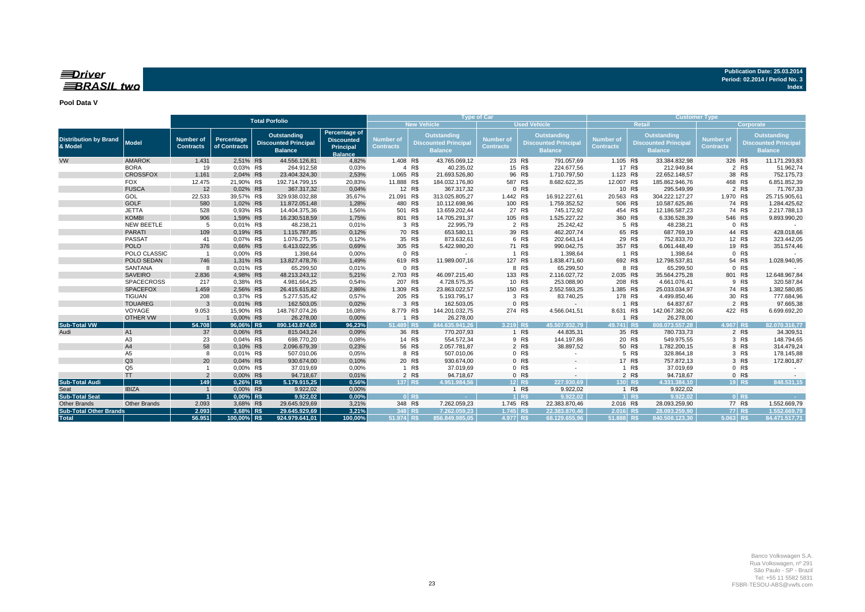### $\equiv$ Driver **BRASIL** two

#### **Pool Data V**

| <b>Total Porfolio</b>                   |                   |                                      |                                   |                                                              | <b>Type of Car</b>                                                |                               |        |                                                                     | <b>Customer Type</b>          |                     |                                                                     |                               |           |                                                                     |                               |        |                                                                     |
|-----------------------------------------|-------------------|--------------------------------------|-----------------------------------|--------------------------------------------------------------|-------------------------------------------------------------------|-------------------------------|--------|---------------------------------------------------------------------|-------------------------------|---------------------|---------------------------------------------------------------------|-------------------------------|-----------|---------------------------------------------------------------------|-------------------------------|--------|---------------------------------------------------------------------|
|                                         |                   |                                      |                                   |                                                              |                                                                   |                               |        | <b>New Vehicle</b>                                                  |                               | <b>Used Vehicle</b> |                                                                     | Retail                        | Corporate |                                                                     |                               |        |                                                                     |
| <b>Distribution by Brand</b><br>& Model | <b>Model</b>      | <b>Number of</b><br><b>Contracts</b> | <b>Percentage</b><br>of Contracts | Outstanding<br><b>Discounted Principal</b><br><b>Balance</b> | Percentage of<br><b>Discounted</b><br>Principal<br><b>Balance</b> | Number of<br><b>Contracts</b> |        | <b>Outstanding</b><br><b>Discounted Principal</b><br><b>Balance</b> | Number of<br><b>Contracts</b> |                     | <b>Outstanding</b><br><b>Discounted Principal</b><br><b>Balance</b> | Number of<br><b>Contracts</b> |           | <b>Outstanding</b><br><b>Discounted Principal</b><br><b>Balance</b> | Number of<br><b>Contracts</b> |        | <b>Outstanding</b><br><b>Discounted Principal</b><br><b>Balance</b> |
| VW                                      | <b>AMAROK</b>     | 1.431                                | 2,51% R\$                         | 44.556.126,81                                                | 4,82%                                                             | 1.408 R\$                     |        | 43.765.069,12                                                       |                               | 23 R\$              | 791.057,69                                                          | 1.105 R\$                     |           | 33.384.832,98                                                       | 326 R\$                       |        | 11.171.293,83                                                       |
|                                         | <b>BORA</b>       | 19                                   | 0,03% R\$                         | 264.912,58                                                   | 0,03%                                                             |                               | 4 R\$  | 40.235,02                                                           |                               | 15 R\$              | 224.677,56                                                          |                               | 17 R\$    | 212.949,84                                                          |                               | 2 R\$  | 51.962,74                                                           |
|                                         | <b>CROSSFOX</b>   | 1.161                                | 2,04% R\$                         | 23.404.324,30                                                | 2,53%                                                             | 1.065 R\$                     |        | 21.693.526,80                                                       |                               | 96 R\$              | 1.710.797,50                                                        | 1.123 R\$                     |           | 22.652.148,57                                                       |                               | 38 R\$ | 752.175,73                                                          |
|                                         | <b>FOX</b>        | 12.475                               | 21,90% R\$                        | 192.714.799,15                                               | 20,83%                                                            | 11.888 R\$                    |        | 184.032.176,80                                                      | 587 R\$                       |                     | 8.682.622,35                                                        | 12.007 R\$                    |           | 185.862.946,76                                                      | 468 R\$                       |        | 6.851.852,39                                                        |
|                                         | <b>FUSCA</b>      | 12                                   | 0,02% R\$                         | 367.317,32                                                   | 0,04%                                                             |                               | 12 R\$ | 367.317,32                                                          |                               | 0 R\$               | $\overline{\phantom{a}}$                                            |                               | 10 R\$    | 295.549,99                                                          |                               | 2 R\$  | 71.767,33                                                           |
|                                         | GOL               | 22.533                               | 39,57% R\$                        | 329.938.032,88                                               | 35,67%                                                            | 21.091 R\$                    |        | 313.025.805,27                                                      | 1.442 R\$                     |                     | 16.912.227,61                                                       | 20.563 R\$                    |           | 304.222.127,27                                                      | 1.970 R\$                     |        | 25.715.905,61                                                       |
|                                         | <b>GOLF</b>       | 580                                  | 1,02% R\$                         | 11.872.051,48                                                | 1,28%                                                             | 480 R\$                       |        | 10.112.698,96                                                       | 100 R\$                       |                     | 1.759.352,52                                                        | 506 R\$                       |           | 10.587.625,86                                                       |                               | 74 R\$ | 1.284.425,62                                                        |
|                                         | <b>JETTA</b>      | 528                                  | 0,93% R\$                         | 14.404.375,36                                                | 1,56%                                                             | 501 R\$                       |        | 13.659.202,44                                                       |                               | 27 R\$              | 745.172,92                                                          | 454 R\$                       |           | 12.186.587,23                                                       |                               | 74 R\$ | 2.217.788,13                                                        |
|                                         | <b>KOMBI</b>      | 906                                  | 1,59% R\$                         | 16.230.518,59                                                | 1,75%                                                             | 801 R\$                       |        | 14.705.291,37                                                       | 105 R\$                       |                     | 1.525.227,22                                                        | 360 R\$                       |           | 6.336.528,39                                                        | 546 R\$                       |        | 9.893.990,20                                                        |
|                                         | <b>NEW BEETLE</b> | 5                                    | 0,01% R\$                         | 48.238,21                                                    | 0,01%                                                             |                               | 3 R\$  | 22.995,79                                                           |                               | 2 R\$               | 25.242,42                                                           |                               | 5 R\$     | 48.238,21                                                           |                               | 0 R\$  |                                                                     |
|                                         | <b>PARATI</b>     | 109                                  | 0,19% R\$                         | 1.115.787,85                                                 | 0,12%                                                             |                               | 70 R\$ | 653.580,11                                                          |                               | 39 R\$              | 462.207,74                                                          |                               | 65 R\$    | 687.769,19                                                          |                               | 44 R\$ | 428.018,66                                                          |
|                                         | PASSAT            | 41                                   | 0,07% R\$                         | 1.076.275,75                                                 | 0,12%                                                             |                               | 35 R\$ | 873.632,61                                                          |                               | 6 R\$               | 202.643,14                                                          |                               | 29 R\$    | 752.833,70                                                          |                               | 12 R\$ | 323.442,05                                                          |
|                                         | <b>POLO</b>       | 376                                  | 0,66% R\$                         | 6.413.022,95                                                 | 0,69%                                                             | 305 R\$                       |        | 5.422.980,20                                                        |                               | 71 R\$              | 990.042,75                                                          | 357 R\$                       |           | 6.061.448,49                                                        |                               | 19 R\$ | 351.574,46                                                          |
|                                         | POLO CLASSIC      | $\overline{1}$                       | 0,00% R\$                         | 1.398,64                                                     | 0,00%                                                             |                               | 0 R\$  |                                                                     |                               | 1 R\$               | 1.398,64                                                            |                               | 1 R\$     | 1.398,64                                                            |                               | 0 R\$  |                                                                     |
|                                         | POLO SEDAN        | 746                                  | 1,31% R\$                         | 13.827.478,76                                                | 1,49%                                                             | 619 R\$                       |        | 11.989.007,16                                                       | 127 R\$                       |                     | 1.838.471,60                                                        | 692 R\$                       |           | 12.798.537,81                                                       |                               | 54 R\$ | 1.028.940,95                                                        |
|                                         | SANTANA           | -8                                   | 0,01% R\$                         | 65.299,50                                                    | 0,01%                                                             |                               | 0 R\$  |                                                                     |                               | 8 R\$               | 65.299,50                                                           |                               | 8 R\$     | 65.299,50                                                           |                               | 0 R\$  |                                                                     |
|                                         | <b>SAVEIRO</b>    | 2.836                                | 4,98% R\$                         | 48.213.243,12                                                | 5,21%                                                             | 2.703 R\$                     |        | 46.097.215,40                                                       | 133 R\$                       |                     | 2.116.027,72                                                        | 2.035 R\$                     |           | 35.564.275,28                                                       | 801 R\$                       |        | 12.648.967,84                                                       |
|                                         | <b>SPACECROSS</b> | 217                                  | 0,38% R\$                         | 4.981.664,25                                                 | 0,54%                                                             | 207 R\$                       |        | 4.728.575,35                                                        |                               | 10 R\$              | 253.088,90                                                          | 208 R\$                       |           | 4.661.076,41                                                        |                               | 9 R\$  | 320.587,84                                                          |
|                                         | <b>SPACEFOX</b>   | 1.459                                | 2,56% R\$                         | 26.415.615,82                                                | 2,86%                                                             | 1.309 R\$                     |        | 23.863.022,57                                                       | 150 R\$                       |                     | 2.552.593,25                                                        | 1.385 R\$                     |           | 25.033.034,97                                                       |                               | 74 R\$ | 1.382.580,85                                                        |
|                                         | <b>TIGUAN</b>     | 208                                  | 0,37% R\$                         | 5.277.535,42                                                 | 0,57%                                                             | 205 R\$                       |        | 5.193.795,17                                                        |                               | 3 R\$               | 83.740,25                                                           | 178 R\$                       |           | 4.499.850,46                                                        |                               | 30 R\$ | 777.684,96                                                          |
|                                         | <b>TOUAREG</b>    | 3                                    | 0,01% R\$                         | 162.503,05                                                   | 0,02%                                                             |                               | 3 R\$  | 162.503,05                                                          |                               | 0 R\$               |                                                                     |                               | 1 R\$     | 64.837,67                                                           |                               | 2 R\$  | 97.665,38                                                           |
|                                         | VOYAGE            | 9.053                                | 15,90% R\$                        | 148.767.074,26                                               | 16,08%                                                            | 8.779 R\$                     |        | 144.201.032,75                                                      | 274 R\$                       |                     | 4.566.041,51                                                        | 8.631 R\$                     |           | 142.067.382,06                                                      | 422 R\$                       |        | 6.699.692,20                                                        |
|                                         | <b>OTHER VW</b>   |                                      | 0,00% R\$                         | 26.278,00                                                    | 0,00%                                                             |                               | 1 R\$  | 26.278,00                                                           |                               |                     |                                                                     |                               | 1 R\$     | 26.278,00                                                           |                               |        |                                                                     |
| <b>Sub-Total VW</b>                     |                   | 54.708                               | 96,06% R\$                        | 890.143.874,05                                               | 96,23%                                                            | 51.489 R\$                    |        | 844.635.941,26                                                      | 3.219 R\$                     |                     | 45.507.932.79                                                       | 49.741 R\$                    |           | 808.073.557,28                                                      | 4.967 R\$                     |        | 82.070.316,77                                                       |
| Audi                                    | A1                | 37                                   | 0,06% R\$                         | 815.043,24                                                   | 0,09%                                                             |                               | 36 R\$ | 770.207,93                                                          |                               | 1 R\$               | 44.835,31                                                           |                               | 35 R\$    | 780.733,73                                                          |                               | 2 R\$  | 34.309,51                                                           |
|                                         | A <sub>3</sub>    | 23                                   | 0,04% R\$                         | 698.770,20                                                   | 0,08%                                                             |                               | 14 R\$ | 554.572,34                                                          |                               | 9 R\$               | 144.197,86                                                          |                               | 20 R\$    | 549.975,55                                                          |                               | 3 R\$  | 148.794,65                                                          |
|                                         | A4                | 58                                   | 0,10% R\$                         | 2.096.679,39                                                 | 0,23%                                                             |                               | 56 R\$ | 2.057.781,87                                                        |                               | 2 R\$               | 38.897,52                                                           |                               | 50 R\$    | 1.782.200,15                                                        |                               | 8 R\$  | 314.479,24                                                          |
|                                         | A <sub>5</sub>    | 8                                    | 0,01% R\$                         | 507.010,06                                                   | 0,05%                                                             |                               | 8 R\$  | 507.010,06                                                          |                               | 0 R\$               |                                                                     |                               | 5 R\$     | 328.864,18                                                          |                               | 3 R\$  | 178.145,88                                                          |
|                                         | Q3                | 20                                   | 0,04% R\$                         | 930.674,00                                                   | 0,10%                                                             |                               | 20 R\$ | 930.674,00                                                          |                               | 0 R\$               |                                                                     |                               | 17 R\$    | 757.872,13                                                          |                               | 3 R\$  | 172.801,87                                                          |
|                                         | Q <sub>5</sub>    |                                      | 0,00% R\$                         | 37.019,69                                                    | 0,00%                                                             |                               | 1 R\$  | 37.019,69                                                           |                               | 0 R\$               |                                                                     |                               | 1 R\$     | 37.019,69                                                           |                               | 0 R\$  |                                                                     |
|                                         | <b>TT</b>         | $\overline{2}$                       | 0,00% R\$                         | 94.718,67                                                    | 0,01%                                                             |                               | 2 R\$  | 94.718,67                                                           |                               | 0 R\$               |                                                                     |                               | 2 R\$     | 94.718,67                                                           |                               | 0 R\$  |                                                                     |
| <b>Sub-Total Audi</b>                   |                   | 149                                  | 0,26% R\$                         | 5.179.915,25                                                 | 0,56%                                                             | 137 R\$                       |        | 4.951.984,56                                                        |                               | 12 R\$              | 227.930.69                                                          | $130$ R\$                     |           | 4.331.384,10                                                        |                               | 19 R\$ | 848.531,15                                                          |
| Seat                                    | <b>IBIZA</b>      |                                      | 0,00% R\$                         | 9.922,02                                                     | 0,00%                                                             |                               |        |                                                                     |                               | 1 R\$               | 9.922,02                                                            |                               | 1 R\$     | 9.922,02                                                            |                               |        |                                                                     |
| <b>Sub-Total Seat</b>                   |                   |                                      | 0,00% R\$                         | 9.922,02                                                     | 0,00%                                                             |                               | 0 R\$  | <b>Contract</b>                                                     |                               | $1$ R\$             | 9.922,02                                                            |                               | 1 R\$     | 9.922,02                                                            |                               | 0 R    | <b>Service</b>                                                      |
| Other Brands                            | Other Brands      | 2.093                                | 3,68% R\$                         | 29.645.929,69                                                | 3,21%                                                             | 348 R\$                       |        | 7.262.059,23                                                        | 1.745 R\$                     |                     | 22.383.870,46                                                       | 2.016 R\$                     |           | 28.093.259,90                                                       |                               | 77 R\$ | 1.552.669,79                                                        |
| <b>Sub-Total Other Brands</b>           |                   | 2.093                                | 3,68% R\$                         | 29.645.929,69                                                | 3,21%                                                             | 348 R\$                       |        | 7.262.059.23                                                        | 1.745 R\$                     |                     | 22.383.870,46                                                       | 2.016 R\$                     |           | 28.093.259.90                                                       |                               | 77 R\$ | 1.552.669,79                                                        |
| <b>Total</b>                            |                   | 56.951                               | 100,00% R\$                       | 924.979.641,01                                               | 100,00%                                                           | 51.974 R\$                    |        | 856.849.985.05                                                      | 4.977 R\$                     |                     | 68.129.655.96                                                       | 51.888 R\$                    |           | 840.508.123.30                                                      | $5.063$ R\$                   |        | 84.471.517,71                                                       |